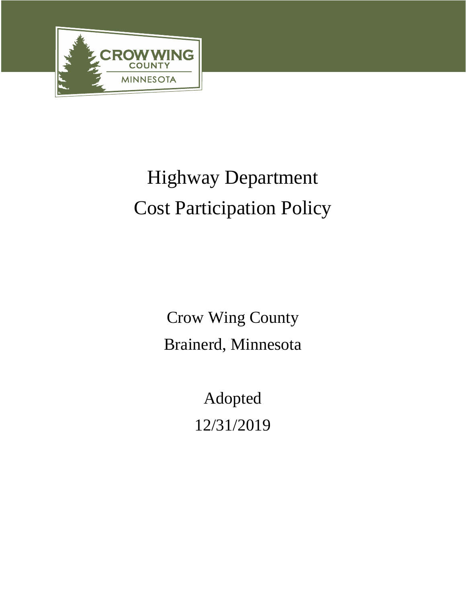

# Highway Department Cost Participation Policy

Crow Wing County Brainerd, Minnesota

> Adopted 12/31/2019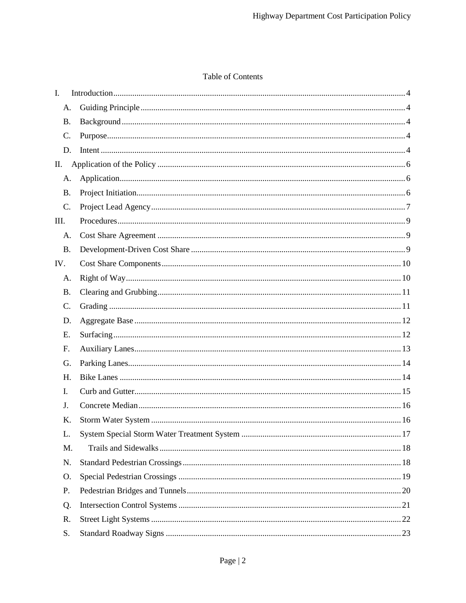## Table of Contents

| $\mathbf{I}$ .  |  |
|-----------------|--|
| A.              |  |
| <b>B.</b>       |  |
| C.              |  |
| D.              |  |
| П.              |  |
| A.              |  |
| <b>B.</b>       |  |
| C.              |  |
| III.            |  |
| A.              |  |
| <b>B.</b>       |  |
| IV.             |  |
| A.              |  |
| <b>B.</b>       |  |
| $\mathcal{C}$ . |  |
| D.              |  |
| Ε.              |  |
| $F_{\cdot}$     |  |
| G.              |  |
| H.              |  |
| I.              |  |
| J.              |  |
| K.              |  |
| L.              |  |
| M.              |  |
| N.              |  |
| O.              |  |
| P.              |  |
| Q.              |  |
| R.              |  |
| S.              |  |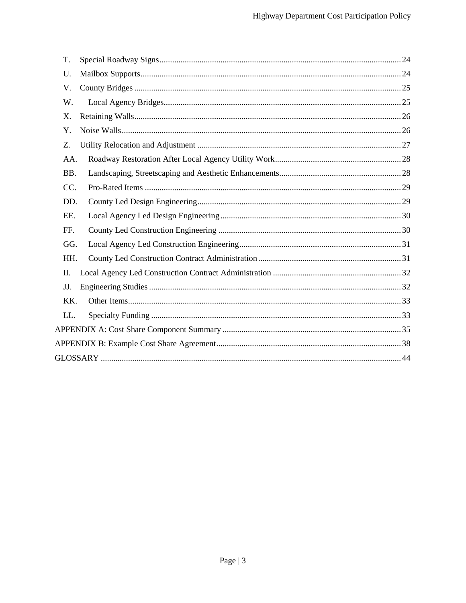| T.  |  |
|-----|--|
| U.  |  |
| V.  |  |
| W.  |  |
| X.  |  |
| Y.  |  |
| Z.  |  |
| AA. |  |
| BB. |  |
| CC. |  |
| DD. |  |
| EE. |  |
| FF. |  |
| GG. |  |
| HH. |  |
| П.  |  |
| JJ. |  |
| KK. |  |
| LL. |  |
|     |  |
|     |  |
|     |  |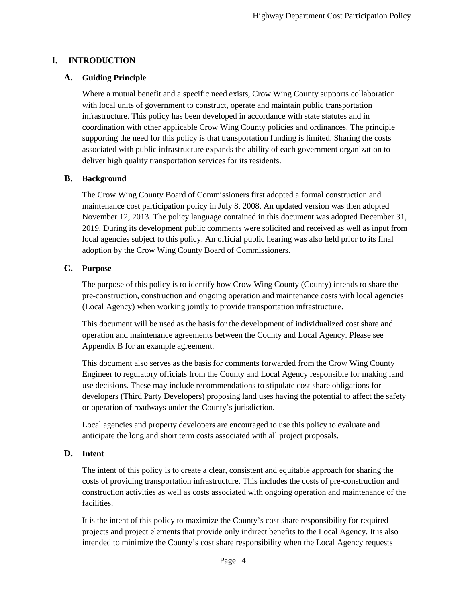## **I. INTRODUCTION**

## **A. Guiding Principle**

Where a mutual benefit and a specific need exists, Crow Wing County supports collaboration with local units of government to construct, operate and maintain public transportation infrastructure. This policy has been developed in accordance with state statutes and in coordination with other applicable Crow Wing County policies and ordinances. The principle supporting the need for this policy is that transportation funding is limited. Sharing the costs associated with public infrastructure expands the ability of each government organization to deliver high quality transportation services for its residents.

## **B. Background**

The Crow Wing County Board of Commissioners first adopted a formal construction and maintenance cost participation policy in July 8, 2008. An updated version was then adopted November 12, 2013. The policy language contained in this document was adopted December 31, 2019. During its development public comments were solicited and received as well as input from local agencies subject to this policy. An official public hearing was also held prior to its final adoption by the Crow Wing County Board of Commissioners.

## **C. Purpose**

The purpose of this policy is to identify how Crow Wing County (County) intends to share the pre-construction, construction and ongoing operation and maintenance costs with local agencies (Local Agency) when working jointly to provide transportation infrastructure.

This document will be used as the basis for the development of individualized cost share and operation and maintenance agreements between the County and Local Agency. Please see Appendix B for an example agreement.

This document also serves as the basis for comments forwarded from the Crow Wing County Engineer to regulatory officials from the County and Local Agency responsible for making land use decisions. These may include recommendations to stipulate cost share obligations for developers (Third Party Developers) proposing land uses having the potential to affect the safety or operation of roadways under the County's jurisdiction.

Local agencies and property developers are encouraged to use this policy to evaluate and anticipate the long and short term costs associated with all project proposals.

## **D. Intent**

The intent of this policy is to create a clear, consistent and equitable approach for sharing the costs of providing transportation infrastructure. This includes the costs of pre-construction and construction activities as well as costs associated with ongoing operation and maintenance of the facilities.

It is the intent of this policy to maximize the County's cost share responsibility for required projects and project elements that provide only indirect benefits to the Local Agency. It is also intended to minimize the County's cost share responsibility when the Local Agency requests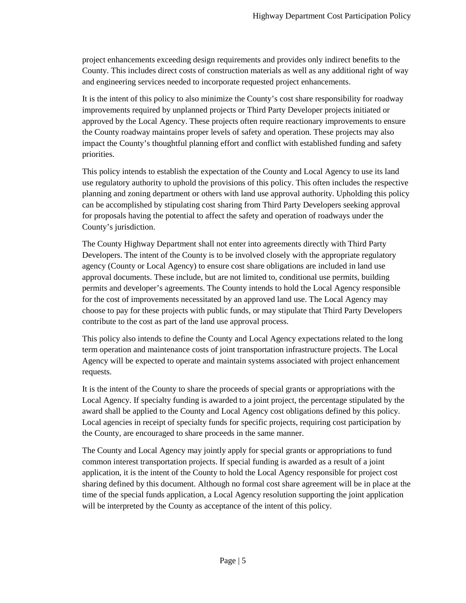project enhancements exceeding design requirements and provides only indirect benefits to the County. This includes direct costs of construction materials as well as any additional right of way and engineering services needed to incorporate requested project enhancements.

It is the intent of this policy to also minimize the County's cost share responsibility for roadway improvements required by unplanned projects or Third Party Developer projects initiated or approved by the Local Agency. These projects often require reactionary improvements to ensure the County roadway maintains proper levels of safety and operation. These projects may also impact the County's thoughtful planning effort and conflict with established funding and safety priorities.

This policy intends to establish the expectation of the County and Local Agency to use its land use regulatory authority to uphold the provisions of this policy. This often includes the respective planning and zoning department or others with land use approval authority. Upholding this policy can be accomplished by stipulating cost sharing from Third Party Developers seeking approval for proposals having the potential to affect the safety and operation of roadways under the County's jurisdiction.

The County Highway Department shall not enter into agreements directly with Third Party Developers. The intent of the County is to be involved closely with the appropriate regulatory agency (County or Local Agency) to ensure cost share obligations are included in land use approval documents. These include, but are not limited to, conditional use permits, building permits and developer's agreements. The County intends to hold the Local Agency responsible for the cost of improvements necessitated by an approved land use. The Local Agency may choose to pay for these projects with public funds, or may stipulate that Third Party Developers contribute to the cost as part of the land use approval process.

This policy also intends to define the County and Local Agency expectations related to the long term operation and maintenance costs of joint transportation infrastructure projects. The Local Agency will be expected to operate and maintain systems associated with project enhancement requests.

It is the intent of the County to share the proceeds of special grants or appropriations with the Local Agency. If specialty funding is awarded to a joint project, the percentage stipulated by the award shall be applied to the County and Local Agency cost obligations defined by this policy. Local agencies in receipt of specialty funds for specific projects, requiring cost participation by the County, are encouraged to share proceeds in the same manner.

The County and Local Agency may jointly apply for special grants or appropriations to fund common interest transportation projects. If special funding is awarded as a result of a joint application, it is the intent of the County to hold the Local Agency responsible for project cost sharing defined by this document. Although no formal cost share agreement will be in place at the time of the special funds application, a Local Agency resolution supporting the joint application will be interpreted by the County as acceptance of the intent of this policy.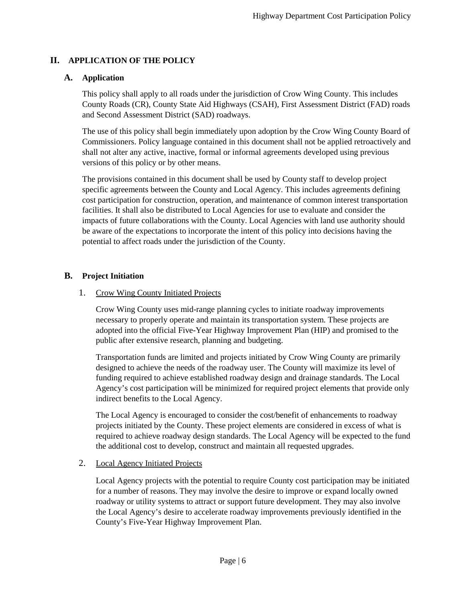## **II. APPLICATION OF THE POLICY**

## **A. Application**

This policy shall apply to all roads under the jurisdiction of Crow Wing County. This includes County Roads (CR), County State Aid Highways (CSAH), First Assessment District (FAD) roads and Second Assessment District (SAD) roadways.

The use of this policy shall begin immediately upon adoption by the Crow Wing County Board of Commissioners. Policy language contained in this document shall not be applied retroactively and shall not alter any active, inactive, formal or informal agreements developed using previous versions of this policy or by other means.

The provisions contained in this document shall be used by County staff to develop project specific agreements between the County and Local Agency. This includes agreements defining cost participation for construction, operation, and maintenance of common interest transportation facilities. It shall also be distributed to Local Agencies for use to evaluate and consider the impacts of future collaborations with the County. Local Agencies with land use authority should be aware of the expectations to incorporate the intent of this policy into decisions having the potential to affect roads under the jurisdiction of the County.

## **B. Project Initiation**

## 1. Crow Wing County Initiated Projects

Crow Wing County uses mid-range planning cycles to initiate roadway improvements necessary to properly operate and maintain its transportation system. These projects are adopted into the official Five-Year Highway Improvement Plan (HIP) and promised to the public after extensive research, planning and budgeting.

Transportation funds are limited and projects initiated by Crow Wing County are primarily designed to achieve the needs of the roadway user. The County will maximize its level of funding required to achieve established roadway design and drainage standards. The Local Agency's cost participation will be minimized for required project elements that provide only indirect benefits to the Local Agency.

The Local Agency is encouraged to consider the cost/benefit of enhancements to roadway projects initiated by the County. These project elements are considered in excess of what is required to achieve roadway design standards. The Local Agency will be expected to the fund the additional cost to develop, construct and maintain all requested upgrades.

## 2. Local Agency Initiated Projects

Local Agency projects with the potential to require County cost participation may be initiated for a number of reasons. They may involve the desire to improve or expand locally owned roadway or utility systems to attract or support future development. They may also involve the Local Agency's desire to accelerate roadway improvements previously identified in the County's Five-Year Highway Improvement Plan.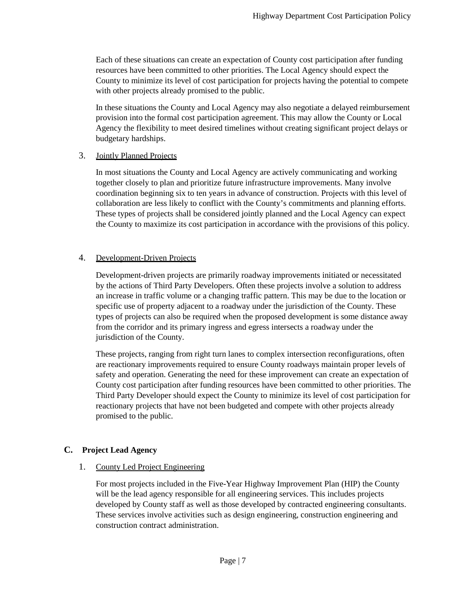Each of these situations can create an expectation of County cost participation after funding resources have been committed to other priorities. The Local Agency should expect the County to minimize its level of cost participation for projects having the potential to compete with other projects already promised to the public.

In these situations the County and Local Agency may also negotiate a delayed reimbursement provision into the formal cost participation agreement. This may allow the County or Local Agency the flexibility to meet desired timelines without creating significant project delays or budgetary hardships.

#### 3. Jointly Planned Projects

In most situations the County and Local Agency are actively communicating and working together closely to plan and prioritize future infrastructure improvements. Many involve coordination beginning six to ten years in advance of construction. Projects with this level of collaboration are less likely to conflict with the County's commitments and planning efforts. These types of projects shall be considered jointly planned and the Local Agency can expect the County to maximize its cost participation in accordance with the provisions of this policy.

## 4. Development-Driven Projects

Development-driven projects are primarily roadway improvements initiated or necessitated by the actions of Third Party Developers. Often these projects involve a solution to address an increase in traffic volume or a changing traffic pattern. This may be due to the location or specific use of property adjacent to a roadway under the jurisdiction of the County. These types of projects can also be required when the proposed development is some distance away from the corridor and its primary ingress and egress intersects a roadway under the jurisdiction of the County.

These projects, ranging from right turn lanes to complex intersection reconfigurations, often are reactionary improvements required to ensure County roadways maintain proper levels of safety and operation. Generating the need for these improvement can create an expectation of County cost participation after funding resources have been committed to other priorities. The Third Party Developer should expect the County to minimize its level of cost participation for reactionary projects that have not been budgeted and compete with other projects already promised to the public.

## **C. Project Lead Agency**

## 1. County Led Project Engineering

For most projects included in the Five-Year Highway Improvement Plan (HIP) the County will be the lead agency responsible for all engineering services. This includes projects developed by County staff as well as those developed by contracted engineering consultants. These services involve activities such as design engineering, construction engineering and construction contract administration.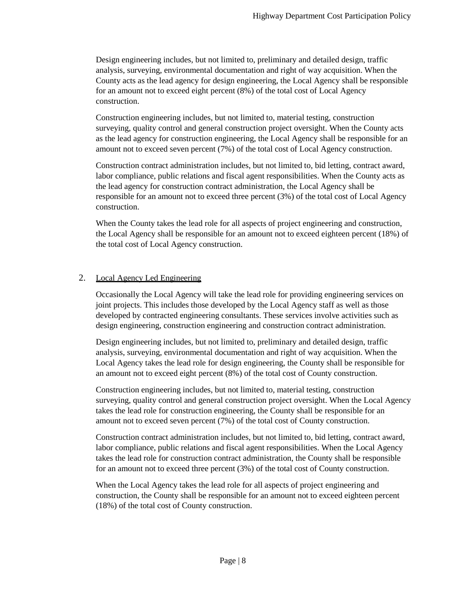Design engineering includes, but not limited to, preliminary and detailed design, traffic analysis, surveying, environmental documentation and right of way acquisition. When the County acts as the lead agency for design engineering, the Local Agency shall be responsible for an amount not to exceed eight percent (8%) of the total cost of Local Agency construction.

Construction engineering includes, but not limited to, material testing, construction surveying, quality control and general construction project oversight. When the County acts as the lead agency for construction engineering, the Local Agency shall be responsible for an amount not to exceed seven percent (7%) of the total cost of Local Agency construction.

Construction contract administration includes, but not limited to, bid letting, contract award, labor compliance, public relations and fiscal agent responsibilities. When the County acts as the lead agency for construction contract administration, the Local Agency shall be responsible for an amount not to exceed three percent (3%) of the total cost of Local Agency construction.

When the County takes the lead role for all aspects of project engineering and construction, the Local Agency shall be responsible for an amount not to exceed eighteen percent (18%) of the total cost of Local Agency construction.

## 2. Local Agency Led Engineering

Occasionally the Local Agency will take the lead role for providing engineering services on joint projects. This includes those developed by the Local Agency staff as well as those developed by contracted engineering consultants. These services involve activities such as design engineering, construction engineering and construction contract administration.

Design engineering includes, but not limited to, preliminary and detailed design, traffic analysis, surveying, environmental documentation and right of way acquisition. When the Local Agency takes the lead role for design engineering, the County shall be responsible for an amount not to exceed eight percent (8%) of the total cost of County construction.

Construction engineering includes, but not limited to, material testing, construction surveying, quality control and general construction project oversight. When the Local Agency takes the lead role for construction engineering, the County shall be responsible for an amount not to exceed seven percent (7%) of the total cost of County construction.

Construction contract administration includes, but not limited to, bid letting, contract award, labor compliance, public relations and fiscal agent responsibilities. When the Local Agency takes the lead role for construction contract administration, the County shall be responsible for an amount not to exceed three percent (3%) of the total cost of County construction.

When the Local Agency takes the lead role for all aspects of project engineering and construction, the County shall be responsible for an amount not to exceed eighteen percent (18%) of the total cost of County construction.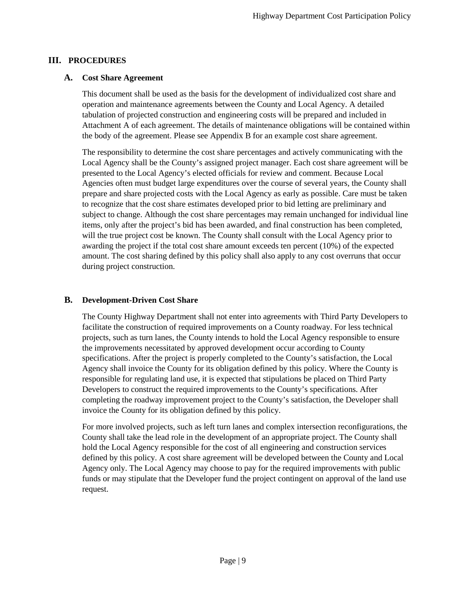## **III. PROCEDURES**

## **A. Cost Share Agreement**

This document shall be used as the basis for the development of individualized cost share and operation and maintenance agreements between the County and Local Agency. A detailed tabulation of projected construction and engineering costs will be prepared and included in Attachment A of each agreement. The details of maintenance obligations will be contained within the body of the agreement. Please see Appendix B for an example cost share agreement.

The responsibility to determine the cost share percentages and actively communicating with the Local Agency shall be the County's assigned project manager. Each cost share agreement will be presented to the Local Agency's elected officials for review and comment. Because Local Agencies often must budget large expenditures over the course of several years, the County shall prepare and share projected costs with the Local Agency as early as possible. Care must be taken to recognize that the cost share estimates developed prior to bid letting are preliminary and subject to change. Although the cost share percentages may remain unchanged for individual line items, only after the project's bid has been awarded, and final construction has been completed, will the true project cost be known. The County shall consult with the Local Agency prior to awarding the project if the total cost share amount exceeds ten percent (10%) of the expected amount. The cost sharing defined by this policy shall also apply to any cost overruns that occur during project construction.

## **B. Development-Driven Cost Share**

The County Highway Department shall not enter into agreements with Third Party Developers to facilitate the construction of required improvements on a County roadway. For less technical projects, such as turn lanes, the County intends to hold the Local Agency responsible to ensure the improvements necessitated by approved development occur according to County specifications. After the project is properly completed to the County's satisfaction, the Local Agency shall invoice the County for its obligation defined by this policy. Where the County is responsible for regulating land use, it is expected that stipulations be placed on Third Party Developers to construct the required improvements to the County's specifications. After completing the roadway improvement project to the County's satisfaction, the Developer shall invoice the County for its obligation defined by this policy.

For more involved projects, such as left turn lanes and complex intersection reconfigurations, the County shall take the lead role in the development of an appropriate project. The County shall hold the Local Agency responsible for the cost of all engineering and construction services defined by this policy. A cost share agreement will be developed between the County and Local Agency only. The Local Agency may choose to pay for the required improvements with public funds or may stipulate that the Developer fund the project contingent on approval of the land use request.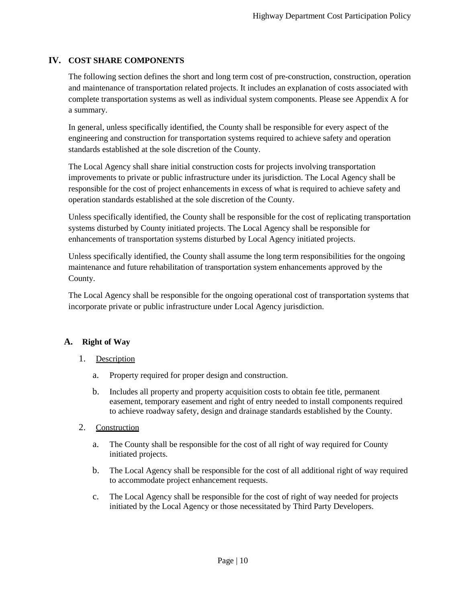## **IV. COST SHARE COMPONENTS**

The following section defines the short and long term cost of pre-construction, construction, operation and maintenance of transportation related projects. It includes an explanation of costs associated with complete transportation systems as well as individual system components. Please see Appendix A for a summary.

In general, unless specifically identified, the County shall be responsible for every aspect of the engineering and construction for transportation systems required to achieve safety and operation standards established at the sole discretion of the County.

The Local Agency shall share initial construction costs for projects involving transportation improvements to private or public infrastructure under its jurisdiction. The Local Agency shall be responsible for the cost of project enhancements in excess of what is required to achieve safety and operation standards established at the sole discretion of the County.

Unless specifically identified, the County shall be responsible for the cost of replicating transportation systems disturbed by County initiated projects. The Local Agency shall be responsible for enhancements of transportation systems disturbed by Local Agency initiated projects.

Unless specifically identified, the County shall assume the long term responsibilities for the ongoing maintenance and future rehabilitation of transportation system enhancements approved by the County.

The Local Agency shall be responsible for the ongoing operational cost of transportation systems that incorporate private or public infrastructure under Local Agency jurisdiction.

## **A. Right of Way**

- 1. Description
	- a. Property required for proper design and construction.
	- b. Includes all property and property acquisition costs to obtain fee title, permanent easement, temporary easement and right of entry needed to install components required to achieve roadway safety, design and drainage standards established by the County.
- 2. Construction
	- a. The County shall be responsible for the cost of all right of way required for County initiated projects.
	- b. The Local Agency shall be responsible for the cost of all additional right of way required to accommodate project enhancement requests.
	- c. The Local Agency shall be responsible for the cost of right of way needed for projects initiated by the Local Agency or those necessitated by Third Party Developers.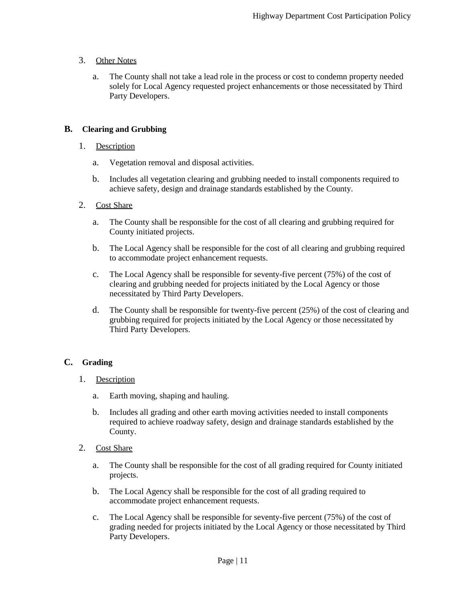## 3. Other Notes

a. The County shall not take a lead role in the process or cost to condemn property needed solely for Local Agency requested project enhancements or those necessitated by Third Party Developers.

## **B. Clearing and Grubbing**

## 1. Description

- a. Vegetation removal and disposal activities.
- b. Includes all vegetation clearing and grubbing needed to install components required to achieve safety, design and drainage standards established by the County.

## 2. Cost Share

- a. The County shall be responsible for the cost of all clearing and grubbing required for County initiated projects.
- b. The Local Agency shall be responsible for the cost of all clearing and grubbing required to accommodate project enhancement requests.
- c. The Local Agency shall be responsible for seventy-five percent (75%) of the cost of clearing and grubbing needed for projects initiated by the Local Agency or those necessitated by Third Party Developers.
- d. The County shall be responsible for twenty-five percent (25%) of the cost of clearing and grubbing required for projects initiated by the Local Agency or those necessitated by Third Party Developers.

## **C. Grading**

- 1. Description
	- a. Earth moving, shaping and hauling.
	- b. Includes all grading and other earth moving activities needed to install components required to achieve roadway safety, design and drainage standards established by the County.
- 2. Cost Share
	- a. The County shall be responsible for the cost of all grading required for County initiated projects.
	- b. The Local Agency shall be responsible for the cost of all grading required to accommodate project enhancement requests.
	- c. The Local Agency shall be responsible for seventy-five percent (75%) of the cost of grading needed for projects initiated by the Local Agency or those necessitated by Third Party Developers.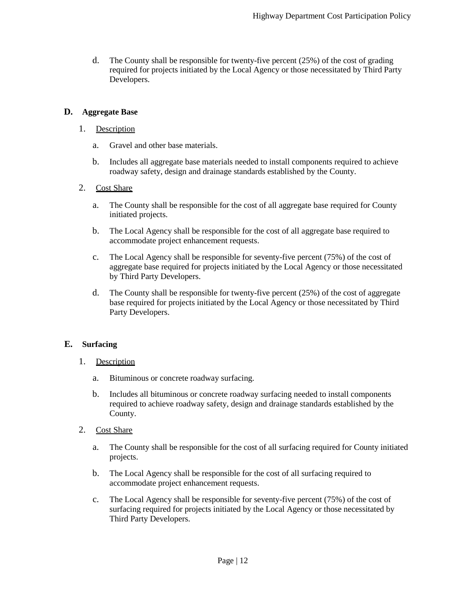d. The County shall be responsible for twenty-five percent (25%) of the cost of grading required for projects initiated by the Local Agency or those necessitated by Third Party Developers.

#### **D. Aggregate Base**

#### 1. Description

- a. Gravel and other base materials.
- b. Includes all aggregate base materials needed to install components required to achieve roadway safety, design and drainage standards established by the County.

#### 2. Cost Share

- a. The County shall be responsible for the cost of all aggregate base required for County initiated projects.
- b. The Local Agency shall be responsible for the cost of all aggregate base required to accommodate project enhancement requests.
- c. The Local Agency shall be responsible for seventy-five percent (75%) of the cost of aggregate base required for projects initiated by the Local Agency or those necessitated by Third Party Developers.
- d. The County shall be responsible for twenty-five percent (25%) of the cost of aggregate base required for projects initiated by the Local Agency or those necessitated by Third Party Developers.

## **E. Surfacing**

- 1. Description
	- a. Bituminous or concrete roadway surfacing.
	- b. Includes all bituminous or concrete roadway surfacing needed to install components required to achieve roadway safety, design and drainage standards established by the County.
- 2. Cost Share
	- a. The County shall be responsible for the cost of all surfacing required for County initiated projects.
	- b. The Local Agency shall be responsible for the cost of all surfacing required to accommodate project enhancement requests.
	- c. The Local Agency shall be responsible for seventy-five percent (75%) of the cost of surfacing required for projects initiated by the Local Agency or those necessitated by Third Party Developers.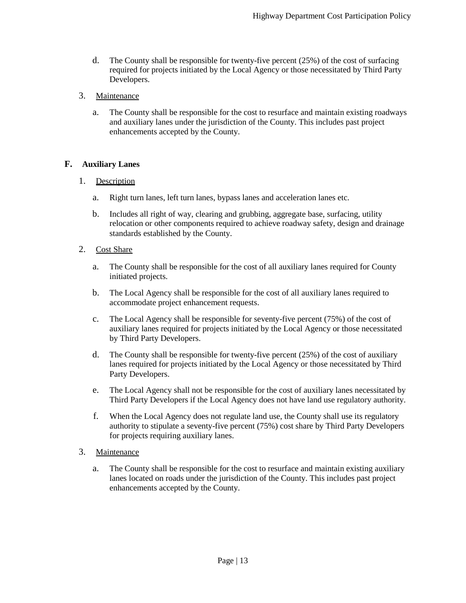- d. The County shall be responsible for twenty-five percent (25%) of the cost of surfacing required for projects initiated by the Local Agency or those necessitated by Third Party Developers.
- 3. Maintenance
	- a. The County shall be responsible for the cost to resurface and maintain existing roadways and auxiliary lanes under the jurisdiction of the County. This includes past project enhancements accepted by the County.

## **F. Auxiliary Lanes**

#### 1. Description

- a. Right turn lanes, left turn lanes, bypass lanes and acceleration lanes etc.
- b. Includes all right of way, clearing and grubbing, aggregate base, surfacing, utility relocation or other components required to achieve roadway safety, design and drainage standards established by the County.

#### 2. Cost Share

- a. The County shall be responsible for the cost of all auxiliary lanes required for County initiated projects.
- b. The Local Agency shall be responsible for the cost of all auxiliary lanes required to accommodate project enhancement requests.
- c. The Local Agency shall be responsible for seventy-five percent (75%) of the cost of auxiliary lanes required for projects initiated by the Local Agency or those necessitated by Third Party Developers.
- d. The County shall be responsible for twenty-five percent (25%) of the cost of auxiliary lanes required for projects initiated by the Local Agency or those necessitated by Third Party Developers.
- e. The Local Agency shall not be responsible for the cost of auxiliary lanes necessitated by Third Party Developers if the Local Agency does not have land use regulatory authority.
- f. When the Local Agency does not regulate land use, the County shall use its regulatory authority to stipulate a seventy-five percent (75%) cost share by Third Party Developers for projects requiring auxiliary lanes.

#### 3. Maintenance

a. The County shall be responsible for the cost to resurface and maintain existing auxiliary lanes located on roads under the jurisdiction of the County. This includes past project enhancements accepted by the County.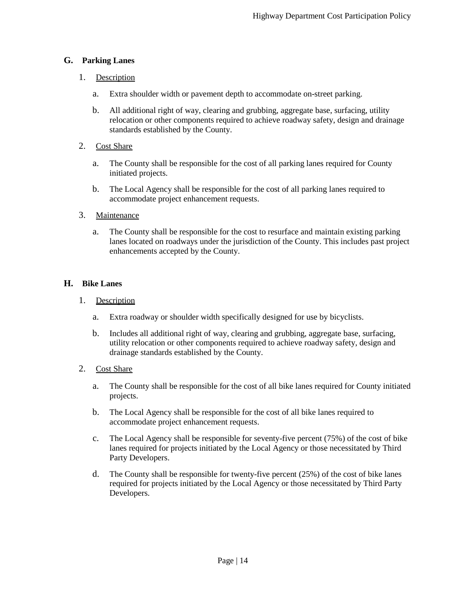## **G. Parking Lanes**

## 1. Description

- a. Extra shoulder width or pavement depth to accommodate on-street parking.
- b. All additional right of way, clearing and grubbing, aggregate base, surfacing, utility relocation or other components required to achieve roadway safety, design and drainage standards established by the County.

## 2. Cost Share

- a. The County shall be responsible for the cost of all parking lanes required for County initiated projects.
- b. The Local Agency shall be responsible for the cost of all parking lanes required to accommodate project enhancement requests.

## 3. Maintenance

a. The County shall be responsible for the cost to resurface and maintain existing parking lanes located on roadways under the jurisdiction of the County. This includes past project enhancements accepted by the County.

## **H. Bike Lanes**

## 1. Description

- a. Extra roadway or shoulder width specifically designed for use by bicyclists.
- b. Includes all additional right of way, clearing and grubbing, aggregate base, surfacing, utility relocation or other components required to achieve roadway safety, design and drainage standards established by the County.

## 2. Cost Share

- a. The County shall be responsible for the cost of all bike lanes required for County initiated projects.
- b. The Local Agency shall be responsible for the cost of all bike lanes required to accommodate project enhancement requests.
- c. The Local Agency shall be responsible for seventy-five percent (75%) of the cost of bike lanes required for projects initiated by the Local Agency or those necessitated by Third Party Developers.
- d. The County shall be responsible for twenty-five percent (25%) of the cost of bike lanes required for projects initiated by the Local Agency or those necessitated by Third Party Developers.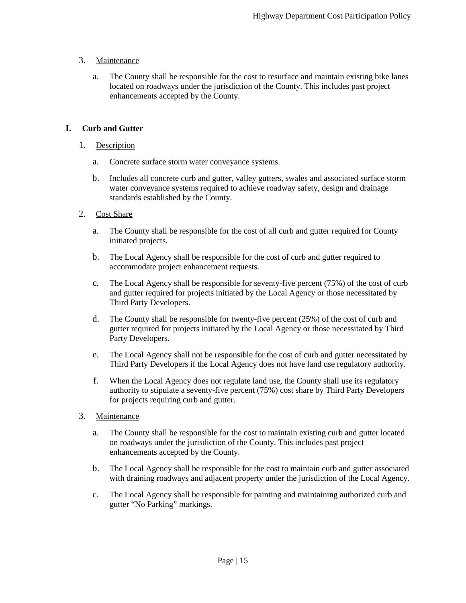## 3. Maintenance

a. The County shall be responsible for the cost to resurface and maintain existing bike lanes located on roadways under the jurisdiction of the County. This includes past project enhancements accepted by the County.

## **I. Curb and Gutter**

## 1. Description

- a. Concrete surface storm water conveyance systems.
- b. Includes all concrete curb and gutter, valley gutters, swales and associated surface storm water conveyance systems required to achieve roadway safety, design and drainage standards established by the County.

## 2. Cost Share

- a. The County shall be responsible for the cost of all curb and gutter required for County initiated projects.
- b. The Local Agency shall be responsible for the cost of curb and gutter required to accommodate project enhancement requests.
- c. The Local Agency shall be responsible for seventy-five percent (75%) of the cost of curb and gutter required for projects initiated by the Local Agency or those necessitated by Third Party Developers.
- d. The County shall be responsible for twenty-five percent (25%) of the cost of curb and gutter required for projects initiated by the Local Agency or those necessitated by Third Party Developers.
- e. The Local Agency shall not be responsible for the cost of curb and gutter necessitated by Third Party Developers if the Local Agency does not have land use regulatory authority.
- f. When the Local Agency does not regulate land use, the County shall use its regulatory authority to stipulate a seventy-five percent (75%) cost share by Third Party Developers for projects requiring curb and gutter.
- 3. Maintenance
	- a. The County shall be responsible for the cost to maintain existing curb and gutter located on roadways under the jurisdiction of the County. This includes past project enhancements accepted by the County.
	- b. The Local Agency shall be responsible for the cost to maintain curb and gutter associated with draining roadways and adjacent property under the jurisdiction of the Local Agency.
	- c. The Local Agency shall be responsible for painting and maintaining authorized curb and gutter "No Parking" markings.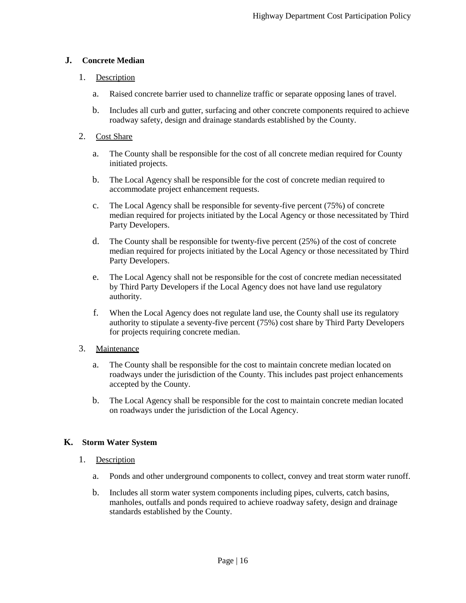## **J. Concrete Median**

## 1. Description

- a. Raised concrete barrier used to channelize traffic or separate opposing lanes of travel.
- b. Includes all curb and gutter, surfacing and other concrete components required to achieve roadway safety, design and drainage standards established by the County.

## 2. Cost Share

- a. The County shall be responsible for the cost of all concrete median required for County initiated projects.
- b. The Local Agency shall be responsible for the cost of concrete median required to accommodate project enhancement requests.
- c. The Local Agency shall be responsible for seventy-five percent (75%) of concrete median required for projects initiated by the Local Agency or those necessitated by Third Party Developers.
- d. The County shall be responsible for twenty-five percent (25%) of the cost of concrete median required for projects initiated by the Local Agency or those necessitated by Third Party Developers.
- e. The Local Agency shall not be responsible for the cost of concrete median necessitated by Third Party Developers if the Local Agency does not have land use regulatory authority.
- f. When the Local Agency does not regulate land use, the County shall use its regulatory authority to stipulate a seventy-five percent (75%) cost share by Third Party Developers for projects requiring concrete median.

## 3. Maintenance

- a. The County shall be responsible for the cost to maintain concrete median located on roadways under the jurisdiction of the County. This includes past project enhancements accepted by the County.
- b. The Local Agency shall be responsible for the cost to maintain concrete median located on roadways under the jurisdiction of the Local Agency.

## **K. Storm Water System**

## 1. Description

- a. Ponds and other underground components to collect, convey and treat storm water runoff.
- b. Includes all storm water system components including pipes, culverts, catch basins, manholes, outfalls and ponds required to achieve roadway safety, design and drainage standards established by the County.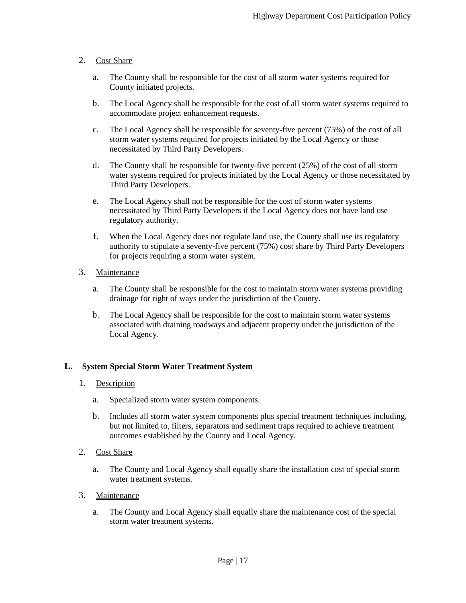## 2. Cost Share

- a. The County shall be responsible for the cost of all storm water systems required for County initiated projects.
- b. The Local Agency shall be responsible for the cost of all storm water systems required to accommodate project enhancement requests.
- c. The Local Agency shall be responsible for seventy-five percent (75%) of the cost of all storm water systems required for projects initiated by the Local Agency or those necessitated by Third Party Developers.
- d. The County shall be responsible for twenty-five percent (25%) of the cost of all storm water systems required for projects initiated by the Local Agency or those necessitated by Third Party Developers.
- e. The Local Agency shall not be responsible for the cost of storm water systems necessitated by Third Party Developers if the Local Agency does not have land use regulatory authority.
- f. When the Local Agency does not regulate land use, the County shall use its regulatory authority to stipulate a seventy-five percent (75%) cost share by Third Party Developers for projects requiring a storm water system.

## 3. Maintenance

- a. The County shall be responsible for the cost to maintain storm water systems providing drainage for right of ways under the jurisdiction of the County.
- b. The Local Agency shall be responsible for the cost to maintain storm water systems associated with draining roadways and adjacent property under the jurisdiction of the Local Agency.

## **L. System Special Storm Water Treatment System**

- 1. Description
	- a. Specialized storm water system components.
	- b. Includes all storm water system components plus special treatment techniques including, but not limited to, filters, separators and sediment traps required to achieve treatment outcomes established by the County and Local Agency.
- 2. Cost Share
	- a. The County and Local Agency shall equally share the installation cost of special storm water treatment systems.
- 3. Maintenance
	- a. The County and Local Agency shall equally share the maintenance cost of the special storm water treatment systems.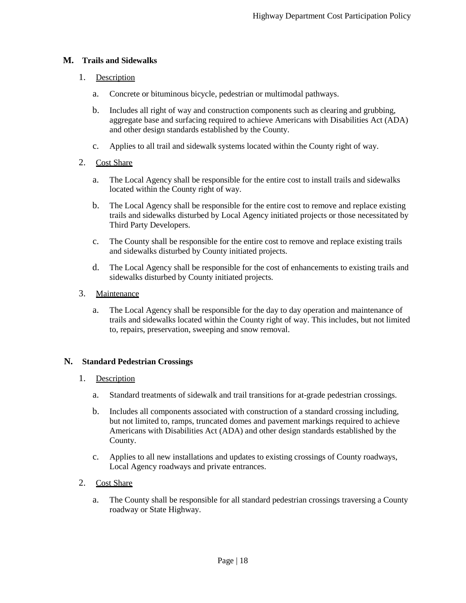## **M. Trails and Sidewalks**

## 1. Description

- a. Concrete or bituminous bicycle, pedestrian or multimodal pathways.
- b. Includes all right of way and construction components such as clearing and grubbing, aggregate base and surfacing required to achieve Americans with Disabilities Act (ADA) and other design standards established by the County.
- c. Applies to all trail and sidewalk systems located within the County right of way.

## 2. Cost Share

- a. The Local Agency shall be responsible for the entire cost to install trails and sidewalks located within the County right of way.
- b. The Local Agency shall be responsible for the entire cost to remove and replace existing trails and sidewalks disturbed by Local Agency initiated projects or those necessitated by Third Party Developers.
- c. The County shall be responsible for the entire cost to remove and replace existing trails and sidewalks disturbed by County initiated projects.
- d. The Local Agency shall be responsible for the cost of enhancements to existing trails and sidewalks disturbed by County initiated projects.
- 3. Maintenance
	- a. The Local Agency shall be responsible for the day to day operation and maintenance of trails and sidewalks located within the County right of way. This includes, but not limited to, repairs, preservation, sweeping and snow removal.

## **N. Standard Pedestrian Crossings**

## 1. Description

- a. Standard treatments of sidewalk and trail transitions for at-grade pedestrian crossings.
- b. Includes all components associated with construction of a standard crossing including, but not limited to, ramps, truncated domes and pavement markings required to achieve Americans with Disabilities Act (ADA) and other design standards established by the County.
- c. Applies to all new installations and updates to existing crossings of County roadways, Local Agency roadways and private entrances.

## 2. Cost Share

a. The County shall be responsible for all standard pedestrian crossings traversing a County roadway or State Highway.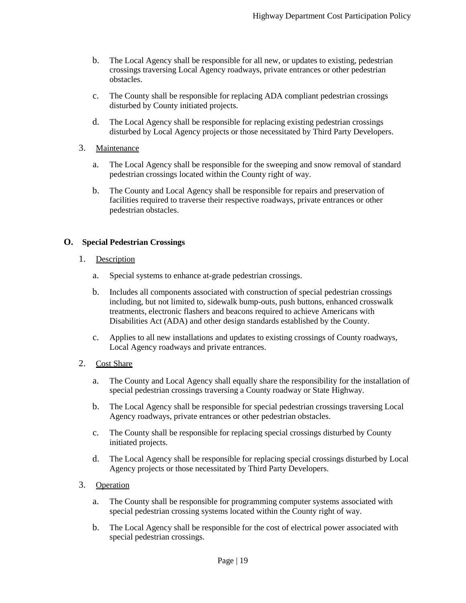- b. The Local Agency shall be responsible for all new, or updates to existing, pedestrian crossings traversing Local Agency roadways, private entrances or other pedestrian obstacles.
- c. The County shall be responsible for replacing ADA compliant pedestrian crossings disturbed by County initiated projects.
- d. The Local Agency shall be responsible for replacing existing pedestrian crossings disturbed by Local Agency projects or those necessitated by Third Party Developers.
- 3. Maintenance
	- a. The Local Agency shall be responsible for the sweeping and snow removal of standard pedestrian crossings located within the County right of way.
	- b. The County and Local Agency shall be responsible for repairs and preservation of facilities required to traverse their respective roadways, private entrances or other pedestrian obstacles.

#### **O. Special Pedestrian Crossings**

- 1. Description
	- a. Special systems to enhance at-grade pedestrian crossings.
	- b. Includes all components associated with construction of special pedestrian crossings including, but not limited to, sidewalk bump-outs, push buttons, enhanced crosswalk treatments, electronic flashers and beacons required to achieve Americans with Disabilities Act (ADA) and other design standards established by the County.
	- c. Applies to all new installations and updates to existing crossings of County roadways, Local Agency roadways and private entrances.
- 2. Cost Share
	- a. The County and Local Agency shall equally share the responsibility for the installation of special pedestrian crossings traversing a County roadway or State Highway.
	- b. The Local Agency shall be responsible for special pedestrian crossings traversing Local Agency roadways, private entrances or other pedestrian obstacles.
	- c. The County shall be responsible for replacing special crossings disturbed by County initiated projects.
	- d. The Local Agency shall be responsible for replacing special crossings disturbed by Local Agency projects or those necessitated by Third Party Developers.
- 3. Operation
	- a. The County shall be responsible for programming computer systems associated with special pedestrian crossing systems located within the County right of way.
	- b. The Local Agency shall be responsible for the cost of electrical power associated with special pedestrian crossings.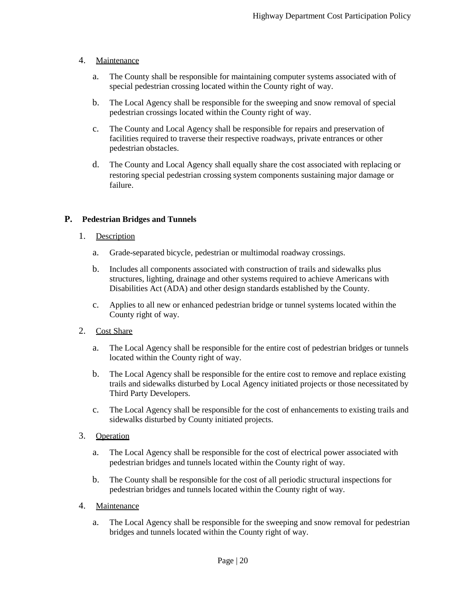## 4. Maintenance

- a. The County shall be responsible for maintaining computer systems associated with of special pedestrian crossing located within the County right of way.
- b. The Local Agency shall be responsible for the sweeping and snow removal of special pedestrian crossings located within the County right of way.
- c. The County and Local Agency shall be responsible for repairs and preservation of facilities required to traverse their respective roadways, private entrances or other pedestrian obstacles.
- d. The County and Local Agency shall equally share the cost associated with replacing or restoring special pedestrian crossing system components sustaining major damage or failure.

## **P. Pedestrian Bridges and Tunnels**

## 1. Description

- a. Grade-separated bicycle, pedestrian or multimodal roadway crossings.
- b. Includes all components associated with construction of trails and sidewalks plus structures, lighting, drainage and other systems required to achieve Americans with Disabilities Act (ADA) and other design standards established by the County.
- c. Applies to all new or enhanced pedestrian bridge or tunnel systems located within the County right of way.
- 2. Cost Share
	- a. The Local Agency shall be responsible for the entire cost of pedestrian bridges or tunnels located within the County right of way.
	- b. The Local Agency shall be responsible for the entire cost to remove and replace existing trails and sidewalks disturbed by Local Agency initiated projects or those necessitated by Third Party Developers.
	- c. The Local Agency shall be responsible for the cost of enhancements to existing trails and sidewalks disturbed by County initiated projects.

## 3. Operation

- a. The Local Agency shall be responsible for the cost of electrical power associated with pedestrian bridges and tunnels located within the County right of way.
- b. The County shall be responsible for the cost of all periodic structural inspections for pedestrian bridges and tunnels located within the County right of way.
- 4. Maintenance
	- a. The Local Agency shall be responsible for the sweeping and snow removal for pedestrian bridges and tunnels located within the County right of way.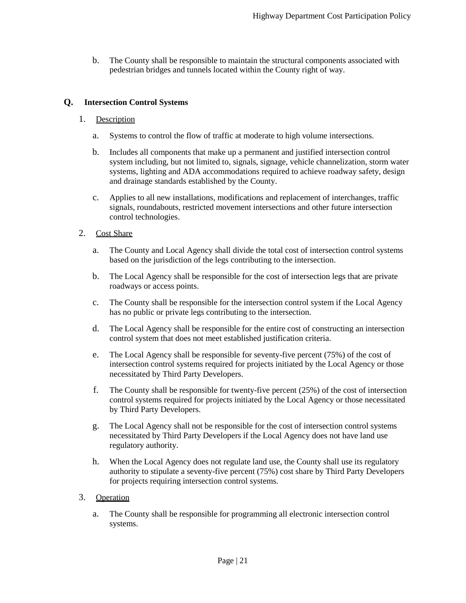b. The County shall be responsible to maintain the structural components associated with pedestrian bridges and tunnels located within the County right of way.

## **Q. Intersection Control Systems**

#### 1. Description

- a. Systems to control the flow of traffic at moderate to high volume intersections.
- b. Includes all components that make up a permanent and justified intersection control system including, but not limited to, signals, signage, vehicle channelization, storm water systems, lighting and ADA accommodations required to achieve roadway safety, design and drainage standards established by the County.
- c. Applies to all new installations, modifications and replacement of interchanges, traffic signals, roundabouts, restricted movement intersections and other future intersection control technologies.
- 2. Cost Share
	- a. The County and Local Agency shall divide the total cost of intersection control systems based on the jurisdiction of the legs contributing to the intersection.
	- b. The Local Agency shall be responsible for the cost of intersection legs that are private roadways or access points.
	- c. The County shall be responsible for the intersection control system if the Local Agency has no public or private legs contributing to the intersection.
	- d. The Local Agency shall be responsible for the entire cost of constructing an intersection control system that does not meet established justification criteria.
	- e. The Local Agency shall be responsible for seventy-five percent (75%) of the cost of intersection control systems required for projects initiated by the Local Agency or those necessitated by Third Party Developers.
	- f. The County shall be responsible for twenty-five percent (25%) of the cost of intersection control systems required for projects initiated by the Local Agency or those necessitated by Third Party Developers.
	- g. The Local Agency shall not be responsible for the cost of intersection control systems necessitated by Third Party Developers if the Local Agency does not have land use regulatory authority.
	- h. When the Local Agency does not regulate land use, the County shall use its regulatory authority to stipulate a seventy-five percent (75%) cost share by Third Party Developers for projects requiring intersection control systems.

#### 3. Operation

a. The County shall be responsible for programming all electronic intersection control systems.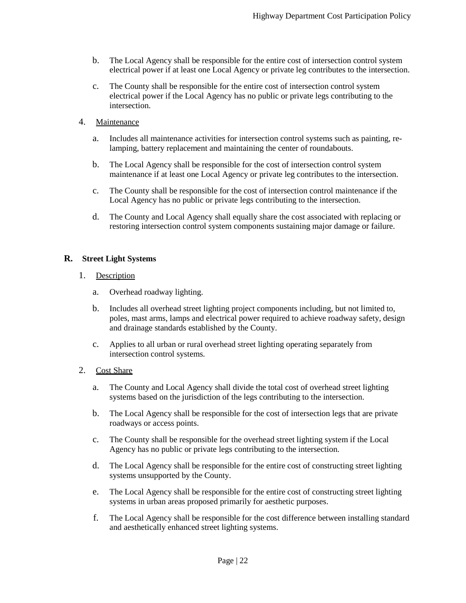- b. The Local Agency shall be responsible for the entire cost of intersection control system electrical power if at least one Local Agency or private leg contributes to the intersection.
- c. The County shall be responsible for the entire cost of intersection control system electrical power if the Local Agency has no public or private legs contributing to the intersection.

#### 4. Maintenance

- a. Includes all maintenance activities for intersection control systems such as painting, relamping, battery replacement and maintaining the center of roundabouts.
- b. The Local Agency shall be responsible for the cost of intersection control system maintenance if at least one Local Agency or private leg contributes to the intersection.
- c. The County shall be responsible for the cost of intersection control maintenance if the Local Agency has no public or private legs contributing to the intersection.
- d. The County and Local Agency shall equally share the cost associated with replacing or restoring intersection control system components sustaining major damage or failure.

#### **R. Street Light Systems**

#### 1. Description

- a. Overhead roadway lighting.
- b. Includes all overhead street lighting project components including, but not limited to, poles, mast arms, lamps and electrical power required to achieve roadway safety, design and drainage standards established by the County.
- c. Applies to all urban or rural overhead street lighting operating separately from intersection control systems.

#### 2. Cost Share

- a. The County and Local Agency shall divide the total cost of overhead street lighting systems based on the jurisdiction of the legs contributing to the intersection.
- b. The Local Agency shall be responsible for the cost of intersection legs that are private roadways or access points.
- c. The County shall be responsible for the overhead street lighting system if the Local Agency has no public or private legs contributing to the intersection.
- d. The Local Agency shall be responsible for the entire cost of constructing street lighting systems unsupported by the County.
- e. The Local Agency shall be responsible for the entire cost of constructing street lighting systems in urban areas proposed primarily for aesthetic purposes.
- f. The Local Agency shall be responsible for the cost difference between installing standard and aesthetically enhanced street lighting systems.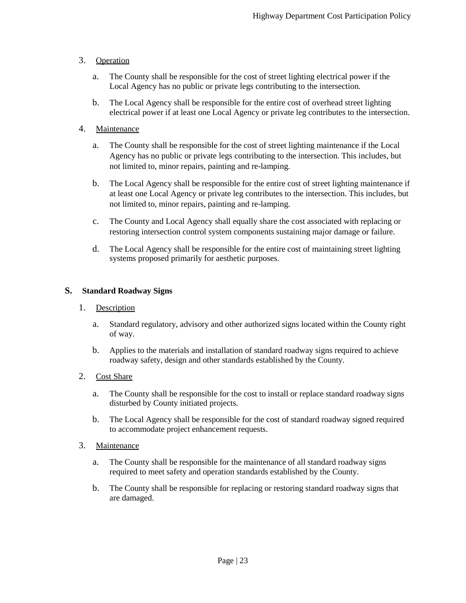## 3. Operation

- a. The County shall be responsible for the cost of street lighting electrical power if the Local Agency has no public or private legs contributing to the intersection.
- b. The Local Agency shall be responsible for the entire cost of overhead street lighting electrical power if at least one Local Agency or private leg contributes to the intersection.

## 4. Maintenance

- a. The County shall be responsible for the cost of street lighting maintenance if the Local Agency has no public or private legs contributing to the intersection. This includes, but not limited to, minor repairs, painting and re-lamping.
- b. The Local Agency shall be responsible for the entire cost of street lighting maintenance if at least one Local Agency or private leg contributes to the intersection. This includes, but not limited to, minor repairs, painting and re-lamping.
- c. The County and Local Agency shall equally share the cost associated with replacing or restoring intersection control system components sustaining major damage or failure.
- d. The Local Agency shall be responsible for the entire cost of maintaining street lighting systems proposed primarily for aesthetic purposes.

#### **S. Standard Roadway Signs**

## 1. Description

- a. Standard regulatory, advisory and other authorized signs located within the County right of way.
- b. Applies to the materials and installation of standard roadway signs required to achieve roadway safety, design and other standards established by the County.

## 2. Cost Share

- a. The County shall be responsible for the cost to install or replace standard roadway signs disturbed by County initiated projects.
- b. The Local Agency shall be responsible for the cost of standard roadway signed required to accommodate project enhancement requests.
- 3. Maintenance
	- a. The County shall be responsible for the maintenance of all standard roadway signs required to meet safety and operation standards established by the County.
	- b. The County shall be responsible for replacing or restoring standard roadway signs that are damaged.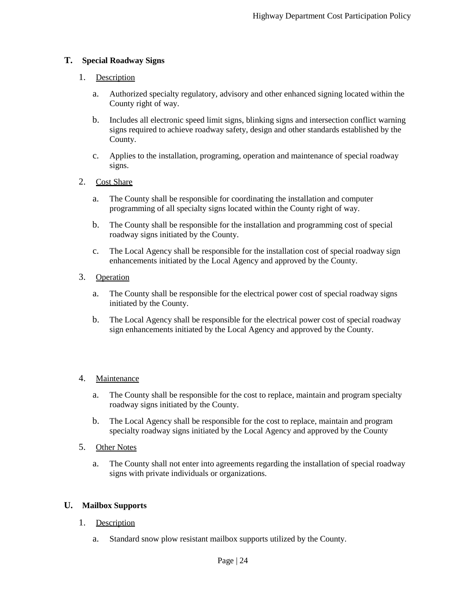## **T. Special Roadway Signs**

## 1. Description

- a. Authorized specialty regulatory, advisory and other enhanced signing located within the County right of way.
- b. Includes all electronic speed limit signs, blinking signs and intersection conflict warning signs required to achieve roadway safety, design and other standards established by the County.
- c. Applies to the installation, programing, operation and maintenance of special roadway signs.

## 2. Cost Share

- a. The County shall be responsible for coordinating the installation and computer programming of all specialty signs located within the County right of way.
- b. The County shall be responsible for the installation and programming cost of special roadway signs initiated by the County.
- c. The Local Agency shall be responsible for the installation cost of special roadway sign enhancements initiated by the Local Agency and approved by the County.

## 3. Operation

- a. The County shall be responsible for the electrical power cost of special roadway signs initiated by the County.
- b. The Local Agency shall be responsible for the electrical power cost of special roadway sign enhancements initiated by the Local Agency and approved by the County.

## 4. Maintenance

- a. The County shall be responsible for the cost to replace, maintain and program specialty roadway signs initiated by the County.
- b. The Local Agency shall be responsible for the cost to replace, maintain and program specialty roadway signs initiated by the Local Agency and approved by the County
- 5. Other Notes
	- a. The County shall not enter into agreements regarding the installation of special roadway signs with private individuals or organizations.

## **U. Mailbox Supports**

- 1. Description
	- a. Standard snow plow resistant mailbox supports utilized by the County.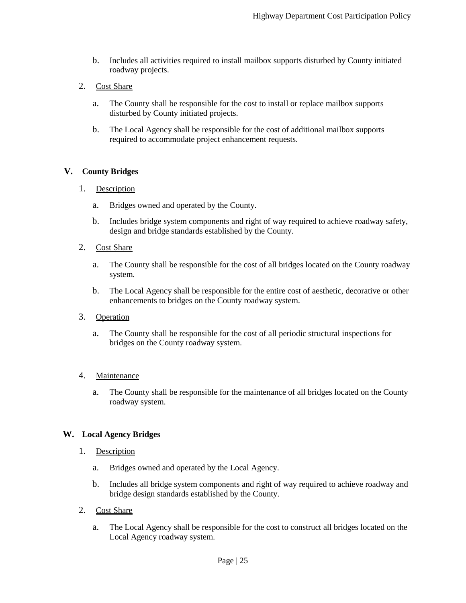b. Includes all activities required to install mailbox supports disturbed by County initiated roadway projects.

## 2. Cost Share

- a. The County shall be responsible for the cost to install or replace mailbox supports disturbed by County initiated projects.
- b. The Local Agency shall be responsible for the cost of additional mailbox supports required to accommodate project enhancement requests.

#### **V. County Bridges**

- 1. Description
	- a. Bridges owned and operated by the County.
	- b. Includes bridge system components and right of way required to achieve roadway safety, design and bridge standards established by the County.

#### 2. Cost Share

- a. The County shall be responsible for the cost of all bridges located on the County roadway system.
- b. The Local Agency shall be responsible for the entire cost of aesthetic, decorative or other enhancements to bridges on the County roadway system.

#### 3. Operation

a. The County shall be responsible for the cost of all periodic structural inspections for bridges on the County roadway system.

#### 4. Maintenance

a. The County shall be responsible for the maintenance of all bridges located on the County roadway system.

## **W. Local Agency Bridges**

- 1. Description
	- a. Bridges owned and operated by the Local Agency.
	- b. Includes all bridge system components and right of way required to achieve roadway and bridge design standards established by the County.
- 2. Cost Share
	- a. The Local Agency shall be responsible for the cost to construct all bridges located on the Local Agency roadway system.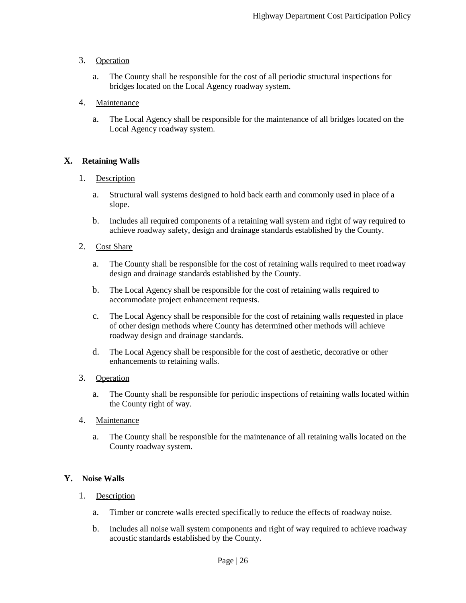## 3. Operation

a. The County shall be responsible for the cost of all periodic structural inspections for bridges located on the Local Agency roadway system.

## 4. Maintenance

a. The Local Agency shall be responsible for the maintenance of all bridges located on the Local Agency roadway system.

## **X. Retaining Walls**

## 1. Description

- a. Structural wall systems designed to hold back earth and commonly used in place of a slope.
- b. Includes all required components of a retaining wall system and right of way required to achieve roadway safety, design and drainage standards established by the County.

#### 2. Cost Share

- a. The County shall be responsible for the cost of retaining walls required to meet roadway design and drainage standards established by the County.
- b. The Local Agency shall be responsible for the cost of retaining walls required to accommodate project enhancement requests.
- c. The Local Agency shall be responsible for the cost of retaining walls requested in place of other design methods where County has determined other methods will achieve roadway design and drainage standards.
- d. The Local Agency shall be responsible for the cost of aesthetic, decorative or other enhancements to retaining walls.

## 3. Operation

a. The County shall be responsible for periodic inspections of retaining walls located within the County right of way.

## 4. Maintenance

a. The County shall be responsible for the maintenance of all retaining walls located on the County roadway system.

## **Y. Noise Walls**

#### 1. Description

- a. Timber or concrete walls erected specifically to reduce the effects of roadway noise.
- b. Includes all noise wall system components and right of way required to achieve roadway acoustic standards established by the County.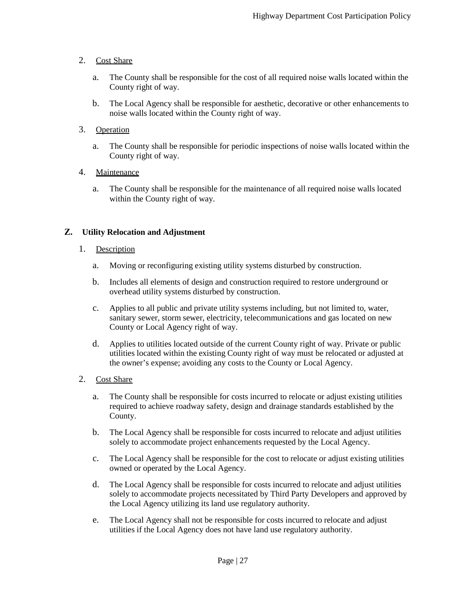## 2. Cost Share

- a. The County shall be responsible for the cost of all required noise walls located within the County right of way.
- b. The Local Agency shall be responsible for aesthetic, decorative or other enhancements to noise walls located within the County right of way.

## 3. Operation

a. The County shall be responsible for periodic inspections of noise walls located within the County right of way.

#### 4. Maintenance

a. The County shall be responsible for the maintenance of all required noise walls located within the County right of way.

## **Z. Utility Relocation and Adjustment**

- 1. Description
	- a. Moving or reconfiguring existing utility systems disturbed by construction.
	- b. Includes all elements of design and construction required to restore underground or overhead utility systems disturbed by construction.
	- c. Applies to all public and private utility systems including, but not limited to, water, sanitary sewer, storm sewer, electricity, telecommunications and gas located on new County or Local Agency right of way.
	- d. Applies to utilities located outside of the current County right of way. Private or public utilities located within the existing County right of way must be relocated or adjusted at the owner's expense; avoiding any costs to the County or Local Agency.

## 2. Cost Share

- a. The County shall be responsible for costs incurred to relocate or adjust existing utilities required to achieve roadway safety, design and drainage standards established by the County.
- b. The Local Agency shall be responsible for costs incurred to relocate and adjust utilities solely to accommodate project enhancements requested by the Local Agency.
- c. The Local Agency shall be responsible for the cost to relocate or adjust existing utilities owned or operated by the Local Agency.
- d. The Local Agency shall be responsible for costs incurred to relocate and adjust utilities solely to accommodate projects necessitated by Third Party Developers and approved by the Local Agency utilizing its land use regulatory authority.
- e. The Local Agency shall not be responsible for costs incurred to relocate and adjust utilities if the Local Agency does not have land use regulatory authority.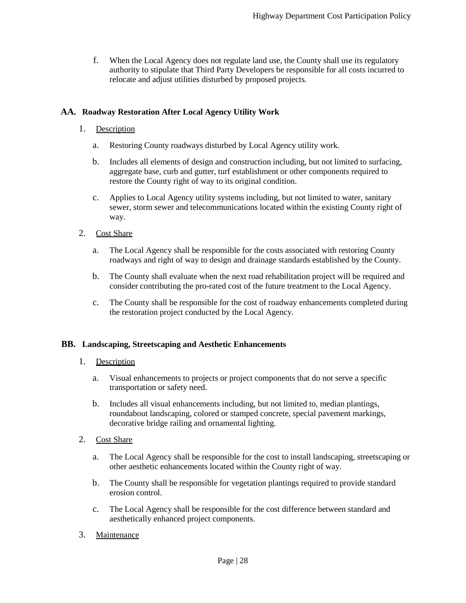f. When the Local Agency does not regulate land use, the County shall use its regulatory authority to stipulate that Third Party Developers be responsible for all costs incurred to relocate and adjust utilities disturbed by proposed projects.

## **AA. Roadway Restoration After Local Agency Utility Work**

#### 1. Description

- a. Restoring County roadways disturbed by Local Agency utility work.
- b. Includes all elements of design and construction including, but not limited to surfacing, aggregate base, curb and gutter, turf establishment or other components required to restore the County right of way to its original condition.
- c. Applies to Local Agency utility systems including, but not limited to water, sanitary sewer, storm sewer and telecommunications located within the existing County right of way.
- 2. Cost Share
	- a. The Local Agency shall be responsible for the costs associated with restoring County roadways and right of way to design and drainage standards established by the County.
	- b. The County shall evaluate when the next road rehabilitation project will be required and consider contributing the pro-rated cost of the future treatment to the Local Agency.
	- c. The County shall be responsible for the cost of roadway enhancements completed during the restoration project conducted by the Local Agency.

#### **BB. Landscaping, Streetscaping and Aesthetic Enhancements**

#### 1. Description

- a. Visual enhancements to projects or project components that do not serve a specific transportation or safety need.
- b. Includes all visual enhancements including, but not limited to, median plantings, roundabout landscaping, colored or stamped concrete, special pavement markings, decorative bridge railing and ornamental lighting.
- 2. Cost Share
	- a. The Local Agency shall be responsible for the cost to install landscaping, streetscaping or other aesthetic enhancements located within the County right of way.
	- b. The County shall be responsible for vegetation plantings required to provide standard erosion control.
	- c. The Local Agency shall be responsible for the cost difference between standard and aesthetically enhanced project components.
- 3. Maintenance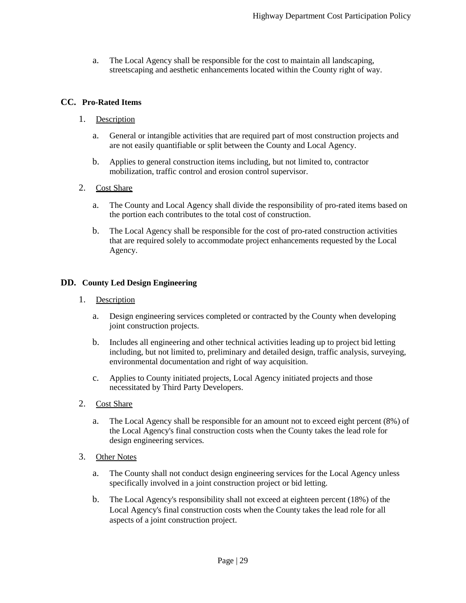a. The Local Agency shall be responsible for the cost to maintain all landscaping, streetscaping and aesthetic enhancements located within the County right of way.

## **CC. Pro-Rated Items**

- 1. Description
	- a. General or intangible activities that are required part of most construction projects and are not easily quantifiable or split between the County and Local Agency.
	- b. Applies to general construction items including, but not limited to, contractor mobilization, traffic control and erosion control supervisor.
- 2. Cost Share
	- a. The County and Local Agency shall divide the responsibility of pro-rated items based on the portion each contributes to the total cost of construction.
	- b. The Local Agency shall be responsible for the cost of pro-rated construction activities that are required solely to accommodate project enhancements requested by the Local Agency.

#### **DD. County Led Design Engineering**

- 1. Description
	- a. Design engineering services completed or contracted by the County when developing joint construction projects.
	- b. Includes all engineering and other technical activities leading up to project bid letting including, but not limited to, preliminary and detailed design, traffic analysis, surveying, environmental documentation and right of way acquisition.
	- c. Applies to County initiated projects, Local Agency initiated projects and those necessitated by Third Party Developers.
- 2. Cost Share
	- a. The Local Agency shall be responsible for an amount not to exceed eight percent (8%) of the Local Agency's final construction costs when the County takes the lead role for design engineering services.
- 3. Other Notes
	- a. The County shall not conduct design engineering services for the Local Agency unless specifically involved in a joint construction project or bid letting.
	- b. The Local Agency's responsibility shall not exceed at eighteen percent (18%) of the Local Agency's final construction costs when the County takes the lead role for all aspects of a joint construction project.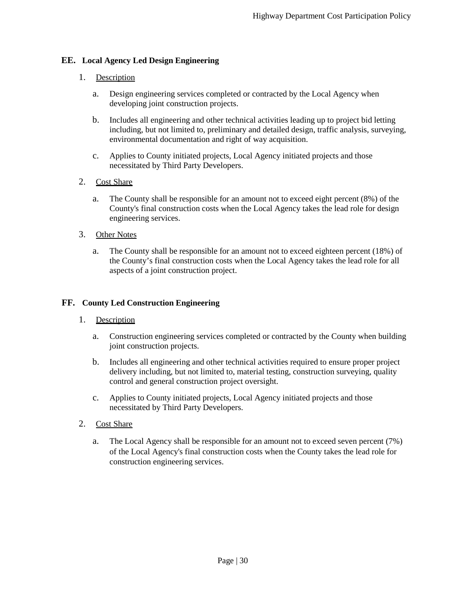## **EE. Local Agency Led Design Engineering**

## 1. Description

- a. Design engineering services completed or contracted by the Local Agency when developing joint construction projects.
- b. Includes all engineering and other technical activities leading up to project bid letting including, but not limited to, preliminary and detailed design, traffic analysis, surveying, environmental documentation and right of way acquisition.
- c. Applies to County initiated projects, Local Agency initiated projects and those necessitated by Third Party Developers.

## 2. Cost Share

a. The County shall be responsible for an amount not to exceed eight percent (8%) of the County's final construction costs when the Local Agency takes the lead role for design engineering services.

## 3. Other Notes

a. The County shall be responsible for an amount not to exceed eighteen percent (18%) of the County's final construction costs when the Local Agency takes the lead role for all aspects of a joint construction project.

## **FF. County Led Construction Engineering**

## 1. Description

- a. Construction engineering services completed or contracted by the County when building joint construction projects.
- b. Includes all engineering and other technical activities required to ensure proper project delivery including, but not limited to, material testing, construction surveying, quality control and general construction project oversight.
- c. Applies to County initiated projects, Local Agency initiated projects and those necessitated by Third Party Developers.
- 2. Cost Share
	- a. The Local Agency shall be responsible for an amount not to exceed seven percent (7%) of the Local Agency's final construction costs when the County takes the lead role for construction engineering services.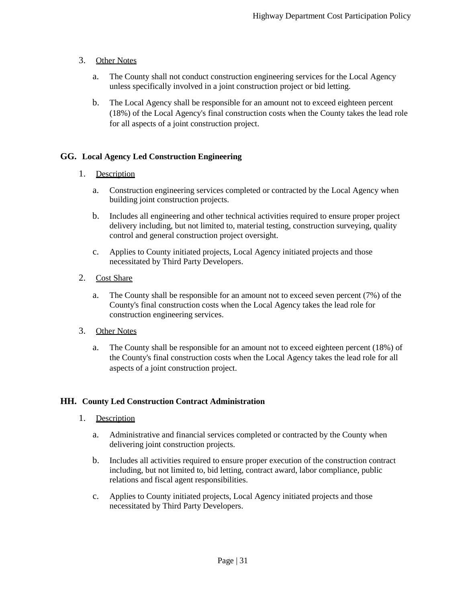## 3. Other Notes

- a. The County shall not conduct construction engineering services for the Local Agency unless specifically involved in a joint construction project or bid letting.
- b. The Local Agency shall be responsible for an amount not to exceed eighteen percent (18%) of the Local Agency's final construction costs when the County takes the lead role for all aspects of a joint construction project.

## **GG. Local Agency Led Construction Engineering**

## 1. Description

- a. Construction engineering services completed or contracted by the Local Agency when building joint construction projects.
- b. Includes all engineering and other technical activities required to ensure proper project delivery including, but not limited to, material testing, construction surveying, quality control and general construction project oversight.
- c. Applies to County initiated projects, Local Agency initiated projects and those necessitated by Third Party Developers.

## 2. Cost Share

- a. The County shall be responsible for an amount not to exceed seven percent (7%) of the County's final construction costs when the Local Agency takes the lead role for construction engineering services.
- 3. Other Notes
	- a. The County shall be responsible for an amount not to exceed eighteen percent (18%) of the County's final construction costs when the Local Agency takes the lead role for all aspects of a joint construction project.

## **HH. County Led Construction Contract Administration**

- 1. Description
	- a. Administrative and financial services completed or contracted by the County when delivering joint construction projects.
	- b. Includes all activities required to ensure proper execution of the construction contract including, but not limited to, bid letting, contract award, labor compliance, public relations and fiscal agent responsibilities.
	- c. Applies to County initiated projects, Local Agency initiated projects and those necessitated by Third Party Developers.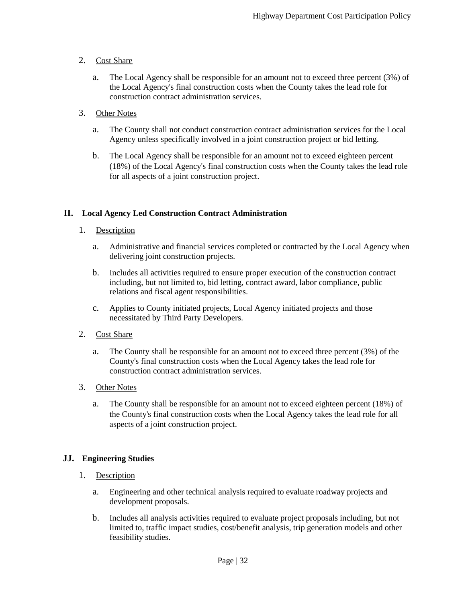## 2. Cost Share

a. The Local Agency shall be responsible for an amount not to exceed three percent (3%) of the Local Agency's final construction costs when the County takes the lead role for construction contract administration services.

## 3. Other Notes

- a. The County shall not conduct construction contract administration services for the Local Agency unless specifically involved in a joint construction project or bid letting.
- b. The Local Agency shall be responsible for an amount not to exceed eighteen percent (18%) of the Local Agency's final construction costs when the County takes the lead role for all aspects of a joint construction project.

## **II. Local Agency Led Construction Contract Administration**

## 1. Description

- a. Administrative and financial services completed or contracted by the Local Agency when delivering joint construction projects.
- b. Includes all activities required to ensure proper execution of the construction contract including, but not limited to, bid letting, contract award, labor compliance, public relations and fiscal agent responsibilities.
- c. Applies to County initiated projects, Local Agency initiated projects and those necessitated by Third Party Developers.

## 2. Cost Share

a. The County shall be responsible for an amount not to exceed three percent (3%) of the County's final construction costs when the Local Agency takes the lead role for construction contract administration services.

## 3. Other Notes

a. The County shall be responsible for an amount not to exceed eighteen percent (18%) of the County's final construction costs when the Local Agency takes the lead role for all aspects of a joint construction project.

## **JJ. Engineering Studies**

## 1. Description

- a. Engineering and other technical analysis required to evaluate roadway projects and development proposals.
- b. Includes all analysis activities required to evaluate project proposals including, but not limited to, traffic impact studies, cost/benefit analysis, trip generation models and other feasibility studies.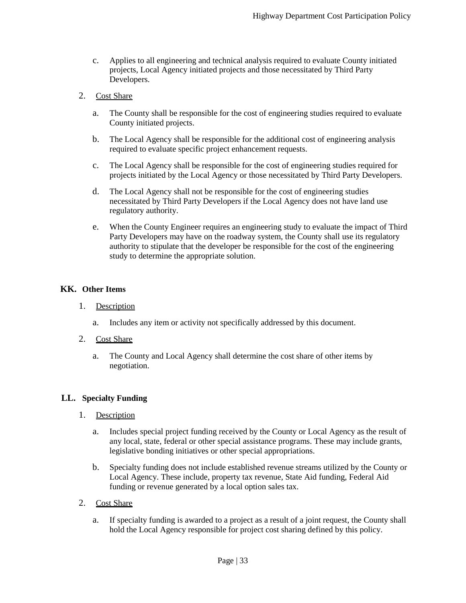c. Applies to all engineering and technical analysis required to evaluate County initiated projects, Local Agency initiated projects and those necessitated by Third Party Developers.

## 2. Cost Share

- a. The County shall be responsible for the cost of engineering studies required to evaluate County initiated projects.
- b. The Local Agency shall be responsible for the additional cost of engineering analysis required to evaluate specific project enhancement requests.
- c. The Local Agency shall be responsible for the cost of engineering studies required for projects initiated by the Local Agency or those necessitated by Third Party Developers.
- d. The Local Agency shall not be responsible for the cost of engineering studies necessitated by Third Party Developers if the Local Agency does not have land use regulatory authority.
- e. When the County Engineer requires an engineering study to evaluate the impact of Third Party Developers may have on the roadway system, the County shall use its regulatory authority to stipulate that the developer be responsible for the cost of the engineering study to determine the appropriate solution.

## **KK. Other Items**

- 1. Description
	- a. Includes any item or activity not specifically addressed by this document.
- 2. Cost Share
	- a. The County and Local Agency shall determine the cost share of other items by negotiation.

## **LL. Specialty Funding**

- 1. Description
	- a. Includes special project funding received by the County or Local Agency as the result of any local, state, federal or other special assistance programs. These may include grants, legislative bonding initiatives or other special appropriations.
	- b. Specialty funding does not include established revenue streams utilized by the County or Local Agency. These include, property tax revenue, State Aid funding, Federal Aid funding or revenue generated by a local option sales tax.
- 2. Cost Share
	- a. If specialty funding is awarded to a project as a result of a joint request, the County shall hold the Local Agency responsible for project cost sharing defined by this policy.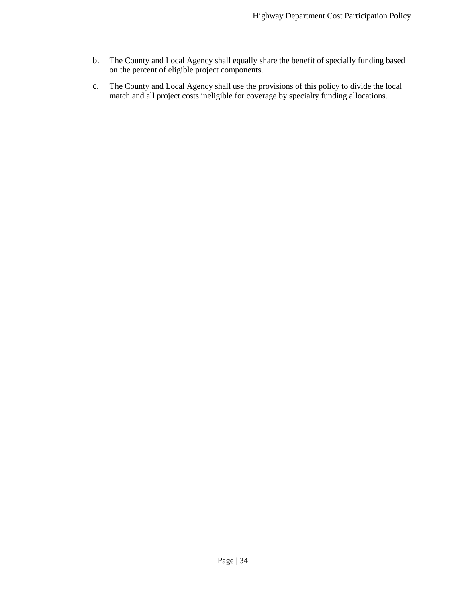- b. The County and Local Agency shall equally share the benefit of specially funding based on the percent of eligible project components.
- c. The County and Local Agency shall use the provisions of this policy to divide the local match and all project costs ineligible for coverage by specialty funding allocations.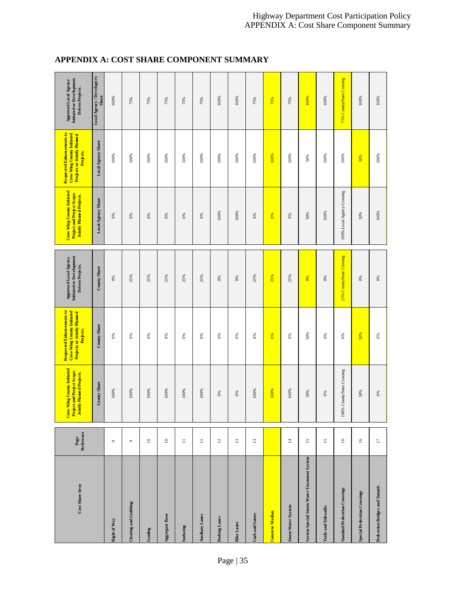## **APPENDIX A: COST SHARE COMPONENT SUMMARY**

| Cost Share Item                             | Page<br>Reference        | Crow Wing County Initiated<br>Project and Project Scope.<br>Jointly Planned Projects. | Requested Enhancements to<br>Crow Wing County Initiated<br>Projects or Jointly Planned<br>Projects. | Initiated or Development<br>Approved Local Agency<br>Driven Projects. | Crow Wing County Initiated<br>Project and Project Scope.<br><b>Jointly Planned Projects.</b> | Requested Enhancements to<br>Crow Wing County Initiated<br>Projects or Jointly Planned<br>Projects. | Approved Local Agency<br>Initiated or Development<br>Driven Projects. |
|---------------------------------------------|--------------------------|---------------------------------------------------------------------------------------|-----------------------------------------------------------------------------------------------------|-----------------------------------------------------------------------|----------------------------------------------------------------------------------------------|-----------------------------------------------------------------------------------------------------|-----------------------------------------------------------------------|
|                                             |                          | County Share                                                                          | County Share                                                                                        | County Share                                                          | Local Agency Share                                                                           | Local Agency Share                                                                                  | Local Agency / Developer's<br>Share                                   |
| <b>Right of Way</b>                         | $\circ$                  | 100%                                                                                  | 0%                                                                                                  | 0%                                                                    | 0%                                                                                           | 100%                                                                                                | 100%                                                                  |
| Clearing and Grubbing                       | $\circ$                  | $100\%$                                                                               | $0\%$                                                                                               | 25%                                                                   | 0%                                                                                           | 100%                                                                                                | 75%                                                                   |
| Grading                                     | $\square$                | $100\%$                                                                               | 0%                                                                                                  | 25%                                                                   | 0%                                                                                           | 100%                                                                                                | 75%                                                                   |
| Aggregate Base                              | $\square$                | 100%                                                                                  | $\delta$                                                                                            | 25%                                                                   | $0\%$                                                                                        | 100%                                                                                                | 75%                                                                   |
| Surfacing                                   | $\equiv$                 | 100%                                                                                  | $\frac{8}{6}$                                                                                       | 25%                                                                   | 0%                                                                                           | 100%                                                                                                | 75%                                                                   |
| <b>Auxiliary Lanes</b>                      | $\equiv$                 | 100%                                                                                  | 0%                                                                                                  | 25%                                                                   | 0%                                                                                           | 100%                                                                                                | 75%                                                                   |
| Parking Lanes                               | 7                        | 6%                                                                                    | 0%                                                                                                  | 0%                                                                    | 100%                                                                                         | 100%                                                                                                | 100%                                                                  |
| <b>Bike Lanes</b>                           | $\Xi$                    | $0\%$                                                                                 | 0%                                                                                                  | 0%                                                                    | 100%                                                                                         | 100%                                                                                                | 100%                                                                  |
| Curb and Gutter                             | $\overline{13}$          | 100%                                                                                  | 0%                                                                                                  | 25%                                                                   | $\frac{8}{6}$                                                                                | 100%                                                                                                | 75%                                                                   |
| Concrete Median                             |                          | 100%                                                                                  | $\frac{8}{3}$                                                                                       | 25%                                                                   | $\frac{8}{5}$                                                                                | 100%                                                                                                | 75%                                                                   |
| <b>Storm Water System</b>                   | $\Xi$                    | 100%                                                                                  | $0\%$                                                                                               | 25%                                                                   | $0\%$                                                                                        | 100%                                                                                                | 75%                                                                   |
| System Special Storm Water Treatment System | 5                        | 50%                                                                                   | 50%                                                                                                 | 0%                                                                    | 50%                                                                                          | 50%                                                                                                 | 100%                                                                  |
| Trails and Side walks                       | 51                       | 0%                                                                                    | 0%                                                                                                  | 0%                                                                    | 100%                                                                                         | 100%                                                                                                | 100%                                                                  |
| Standard Pedestrian Crossings               | 91                       | 100% County/State Crossing                                                            | $\delta$                                                                                            | 25% County/State Crossing                                             | 100% Local Agency Crossing                                                                   | 100%                                                                                                | 75% County/State Crossing                                             |
| Special Pedestrian Crossings                | $\overline{\phantom{0}}$ | 50%                                                                                   | 50%                                                                                                 | $0\%$                                                                 | 50%                                                                                          | 50%                                                                                                 | 100%                                                                  |
| Pedestrian Bridges and Tunnels              | $\Box$                   | $0\%$                                                                                 | $0\%$                                                                                               | $0\%$                                                                 | 100%                                                                                         | 100%                                                                                                | $100\%$                                                               |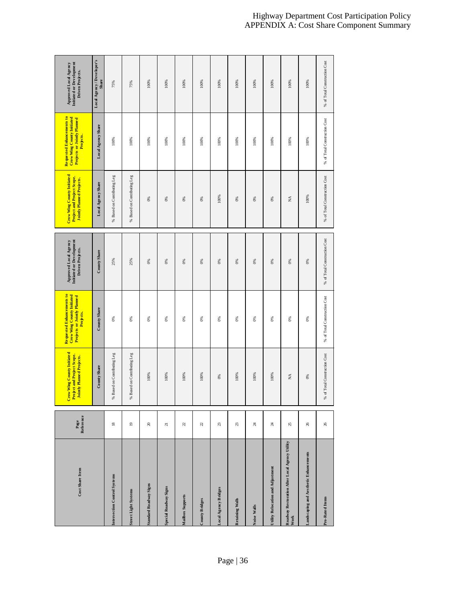| Cost Share Item                                        | Page<br>Reference | Crow Wing County Initiated<br>Project and Project Scope.<br>Jointly Planned Projects. | Requested Enhancements to<br>Crow Wing County Initiated<br>Projects or Jointly Planned | Approved Local Agency<br>Initiated or Development<br>Driven Projects. | Crow Wing County Initiated<br>Project and Project Scope.<br><b>Jointly Planned Projects.</b> | Requested Enhancements to<br>Crow Wing County Initiated<br>Projects or Jointly Planned<br>Projects. | Approved Local Agency<br>Initiated or Development<br>Driven Projects. |
|--------------------------------------------------------|-------------------|---------------------------------------------------------------------------------------|----------------------------------------------------------------------------------------|-----------------------------------------------------------------------|----------------------------------------------------------------------------------------------|-----------------------------------------------------------------------------------------------------|-----------------------------------------------------------------------|
|                                                        |                   | County Share                                                                          | County Share                                                                           | County Share                                                          | Local Agency Share                                                                           | Local Agency Share                                                                                  | Local Agency / Developer's<br>Share                                   |
| Intersection Control Systems                           | $\overline{18}$   | Based on Contributing Leg<br>%                                                        | 68                                                                                     | 25%                                                                   | % Based on Contributing Leg                                                                  | 100%                                                                                                | 75%                                                                   |
| <b>Street Light Systems</b>                            | $\overline{0}$    | Based on Contributing Leg<br>%                                                        | $8\%$                                                                                  | 25%                                                                   | % Based on Contributing Leg                                                                  | 100%                                                                                                | 75%                                                                   |
| Standard Roadway Signs                                 | $20\,$            | 100%                                                                                  | 8                                                                                      | 0%                                                                    | 8 <sup>6</sup>                                                                               | 100%                                                                                                | 100%                                                                  |
| Special Roadway Signs                                  | $\overline{z}$    | 100%                                                                                  | 8 <sup>6</sup>                                                                         | 0%                                                                    | 6%                                                                                           | 100%                                                                                                | 100%                                                                  |
| Mailbox Supports                                       | 22                | 100%                                                                                  | 8                                                                                      | $0\%$                                                                 | $\delta$                                                                                     | 100%                                                                                                | 100%                                                                  |
| County Bridges                                         | 22                | 100%                                                                                  | 8                                                                                      | 0%                                                                    | 8                                                                                            | 100%                                                                                                | 100%                                                                  |
| Local Agency Bridges                                   | 23                | 0%                                                                                    | 8                                                                                      | $0\%$                                                                 | 100%                                                                                         | 100%                                                                                                | 100%                                                                  |
| Retaining Walls                                        | 23                | 100%                                                                                  | 8                                                                                      | $0\%$                                                                 | $\mathcal{C}^{\otimes}$                                                                      | 100%                                                                                                | 100%                                                                  |
| Noise Walls                                            | $\boldsymbol{z}$  | 100%                                                                                  | $\otimes$                                                                              | $0\%$                                                                 | $\otimes$                                                                                    | 100%                                                                                                | 100%                                                                  |
| Utility Relocation and Adjustment                      | 24                | 100%                                                                                  | $\otimes$                                                                              | 0%                                                                    | $\otimes$                                                                                    | 100%                                                                                                | 100%                                                                  |
| Roadway Restoration After Local Agency Utility<br>Work | 25                | $\stackrel{\triangle}{\scriptstyle\sim}$                                              | 8 <sup>6</sup>                                                                         | $0\%$                                                                 | $\lessapprox$                                                                                | 100%                                                                                                | 100%                                                                  |
| Landscaping and A es the tic Enhancements              | 26                | $0\%$                                                                                 | $\mathcal{E}$                                                                          | $0\%$                                                                 | 100%                                                                                         | 100%                                                                                                | 100%                                                                  |
| Pro-Rated Items                                        | $26\,$            | % of Total Construction Cost                                                          | % of Total Construction Cost                                                           | % of Total Construction Cost                                          | % of Total Construction Cost                                                                 | % of Total Construction Cost                                                                        | % of Total Construction Cost                                          |

#### Highway Department Cost Participation Policy APPENDIX A: Cost Share Component Summary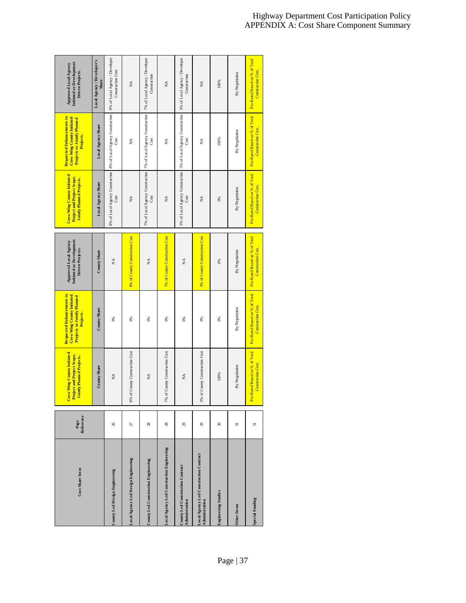| Cost Share Item                                          | Reference<br>Page          | Crow Wing County Initiated<br>Project and Project Scope.<br>Jointly Planned Projects. | Requested Enhancements to<br>Crow Wing County Initiated<br><b>Projects or Jointly Planned</b><br>Projects. | Initiate d or De velopment<br>Approved Local Agency<br>Driven Projects. | Crow Wing County Initiated<br>Project and Project Scope.<br><b>Jointly Planned Projects.</b> | Requested Enhancements to<br>Crow Wing County Initiated<br>Projects or Jointly Planned<br>Projects. | Initiate d or Development<br>Approved Local Agency<br>Driven Projects. |
|----------------------------------------------------------|----------------------------|---------------------------------------------------------------------------------------|------------------------------------------------------------------------------------------------------------|-------------------------------------------------------------------------|----------------------------------------------------------------------------------------------|-----------------------------------------------------------------------------------------------------|------------------------------------------------------------------------|
|                                                          |                            | County Share                                                                          | County Share                                                                                               | County Share                                                            | Local Agency Share                                                                           | Local Agency Share                                                                                  | Local Agency / Developer's<br>Share                                    |
| County Led Design Engineering                            | 26                         | MÃ                                                                                    | $\delta$                                                                                                   | Ź                                                                       | 8% of Local Agency Construction 8% of Local Agency Construction<br>Cost                      | Cost                                                                                                | 8% of Local Agency / Developer<br>Construction Cost                    |
| Local Agency Led Design Engineering                      | 27                         | 8% of County Construction Cost                                                        | 8 <sup>6</sup>                                                                                             | 8% of County Construction Cost                                          | $\stackrel{\triangle}{\scriptstyle\sim}$                                                     | ₹                                                                                                   | $\lessapprox$                                                          |
| County Led Construction Engineering                      | 28                         | $\stackrel{\triangle}{\scriptstyle\sim}$                                              | 8 <sup>6</sup>                                                                                             | $\lessapprox$                                                           | 7% of Local Agency Construction<br>Cost                                                      | 7% of Local Agency Construction<br>Cost                                                             | 7% of Local Agency / Developer<br>Construction                         |
| Local Agency Led Construction Engineering                | 28                         | 7% of County Construction Cost                                                        | 8 <sup>6</sup>                                                                                             | 7% of County Construction Cost                                          | $\stackrel{\triangle}{\scriptstyle\sim}$                                                     | ₹                                                                                                   | $\stackrel{\triangle}{\scriptstyle\sim}$                               |
| County Led Construction Contract<br>Administration       | 29                         | XÃ                                                                                    | $\delta$                                                                                                   | Ź                                                                       | 3% of Local Agency Construction 3% of Local Agency Construction<br>Cost                      | Cost                                                                                                | 3% of Local Agency / Developer<br>Construction                         |
| Local Agency Led Construction Contract<br>Administration | 29                         | 3% of County Construction Cost                                                        | 8                                                                                                          | 3% of County Construction Cost                                          | $\tilde{\ge}$                                                                                | ₹                                                                                                   | $\tilde{\ge}$                                                          |
| <b>Engineering Studies</b>                               | $\boldsymbol{\mathcal{E}}$ | 100%                                                                                  | $\frac{8}{2}$                                                                                              | 0%                                                                      | 0%                                                                                           | 100%                                                                                                | 100%                                                                   |
| Other Items                                              | 51                         | By Negotiation                                                                        | By Negotiation                                                                                             | By Negotiation                                                          | By Negotiation                                                                               | By Negotiation                                                                                      | By Negotiation                                                         |
| Special Funding                                          | $\overline{5}$             | Pro-Rated Based on % of Total<br><b>Construction Cost.</b>                            | Pro-Rated Based on % of Total<br><b>Construction Cost.</b>                                                 | Pro-Rated Based on % of Total<br><b>Construction Cost.</b>              | Pro-Rated Based on % of Total<br>Construction Cost.                                          | Pro-Rated Based on % of Total<br>Construction Cost.                                                 | Pro-Rated Based on % of Total<br>Construction Cost.                    |

## Highway Department Cost Participation Policy APPENDIX A: Cost Share Component Summary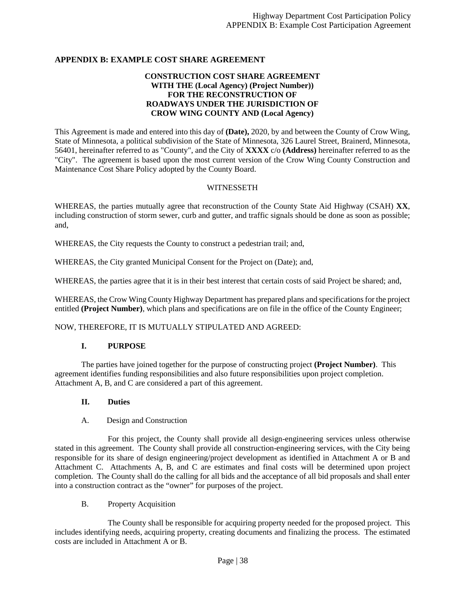#### **APPENDIX B: EXAMPLE COST SHARE AGREEMENT**

#### **CONSTRUCTION COST SHARE AGREEMENT WITH THE (Local Agency) (Project Number)) FOR THE RECONSTRUCTION OF ROADWAYS UNDER THE JURISDICTION OF CROW WING COUNTY AND (Local Agency)**

This Agreement is made and entered into this day of **(Date),** 2020, by and between the County of Crow Wing, State of Minnesota, a political subdivision of the State of Minnesota, 326 Laurel Street, Brainerd, Minnesota, 56401, hereinafter referred to as "County", and the City of **XXXX** c/o **(Address)** hereinafter referred to as the "City". The agreement is based upon the most current version of the Crow Wing County Construction and Maintenance Cost Share Policy adopted by the County Board.

#### **WITNESSETH**

WHEREAS, the parties mutually agree that reconstruction of the County State Aid Highway (CSAH) **XX**, including construction of storm sewer, curb and gutter, and traffic signals should be done as soon as possible; and,

WHEREAS, the City requests the County to construct a pedestrian trail; and,

WHEREAS, the City granted Municipal Consent for the Project on (Date); and,

WHEREAS, the parties agree that it is in their best interest that certain costs of said Project be shared; and,

WHEREAS, the Crow Wing County Highway Department has prepared plans and specifications for the project entitled **(Project Number)**, which plans and specifications are on file in the office of the County Engineer;

NOW, THEREFORE, IT IS MUTUALLY STIPULATED AND AGREED:

#### **I. PURPOSE**

The parties have joined together for the purpose of constructing project **(Project Number)**. This agreement identifies funding responsibilities and also future responsibilities upon project completion. Attachment A, B, and C are considered a part of this agreement.

#### **II. Duties**

#### A. Design and Construction

For this project, the County shall provide all design-engineering services unless otherwise stated in this agreement. The County shall provide all construction-engineering services, with the City being responsible for its share of design engineering/project development as identified in Attachment A or B and Attachment C. Attachments A, B, and C are estimates and final costs will be determined upon project completion. The County shall do the calling for all bids and the acceptance of all bid proposals and shall enter into a construction contract as the "owner" for purposes of the project.

#### B. Property Acquisition

The County shall be responsible for acquiring property needed for the proposed project. This includes identifying needs, acquiring property, creating documents and finalizing the process. The estimated costs are included in Attachment A or B.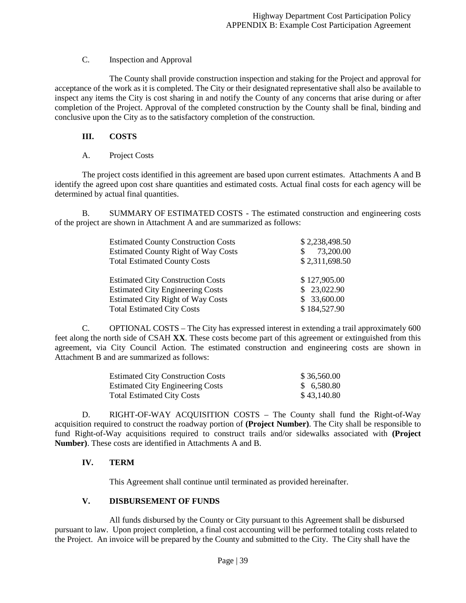## C. Inspection and Approval

The County shall provide construction inspection and staking for the Project and approval for acceptance of the work as it is completed. The City or their designated representative shall also be available to inspect any items the City is cost sharing in and notify the County of any concerns that arise during or after completion of the Project. Approval of the completed construction by the County shall be final, binding and conclusive upon the City as to the satisfactory completion of the construction.

## **III. COSTS**

## A. Project Costs

The project costs identified in this agreement are based upon current estimates. Attachments A and B identify the agreed upon cost share quantities and estimated costs. Actual final costs for each agency will be determined by actual final quantities.

B. SUMMARY OF ESTIMATED COSTS - The estimated construction and engineering costs of the project are shown in Attachment A and are summarized as follows:

| <b>Estimated County Construction Costs</b> | \$2,238,498.50 |
|--------------------------------------------|----------------|
| <b>Estimated County Right of Way Costs</b> | 73,200.00      |
| <b>Total Estimated County Costs</b>        | \$2,311,698.50 |
| <b>Estimated City Construction Costs</b>   | \$127,905.00   |
| <b>Estimated City Engineering Costs</b>    | \$23,022.90    |
| <b>Estimated City Right of Way Costs</b>   | \$33,600.00    |
| <b>Total Estimated City Costs</b>          | \$184,527.90   |

C. OPTIONAL COSTS – The City has expressed interest in extending a trail approximately 600 feet along the north side of CSAH **XX**. These costs become part of this agreement or extinguished from this agreement, via City Council Action. The estimated construction and engineering costs are shown in Attachment B and are summarized as follows:

| <b>Estimated City Construction Costs</b> | \$36,560.00 |
|------------------------------------------|-------------|
| <b>Estimated City Engineering Costs</b>  | \$6,580.80  |
| <b>Total Estimated City Costs</b>        | \$43,140.80 |

D. RIGHT-OF-WAY ACQUISITION COSTS – The County shall fund the Right-of-Way acquisition required to construct the roadway portion of **(Project Number)**. The City shall be responsible to fund Right-of-Way acquisitions required to construct trails and/or sidewalks associated with **(Project Number)**. These costs are identified in Attachments A and B.

## **IV. TERM**

This Agreement shall continue until terminated as provided hereinafter.

## **V. DISBURSEMENT OF FUNDS**

All funds disbursed by the County or City pursuant to this Agreement shall be disbursed pursuant to law. Upon project completion, a final cost accounting will be performed totaling costs related to the Project. An invoice will be prepared by the County and submitted to the City. The City shall have the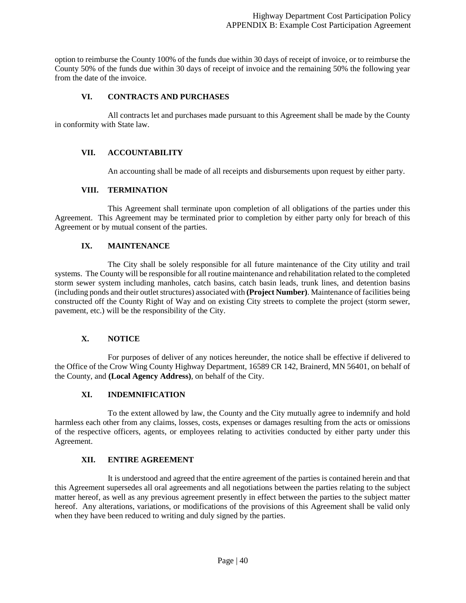option to reimburse the County 100% of the funds due within 30 days of receipt of invoice, or to reimburse the County 50% of the funds due within 30 days of receipt of invoice and the remaining 50% the following year from the date of the invoice.

## **VI. CONTRACTS AND PURCHASES**

All contracts let and purchases made pursuant to this Agreement shall be made by the County in conformity with State law.

#### **VII. ACCOUNTABILITY**

An accounting shall be made of all receipts and disbursements upon request by either party.

#### **VIII. TERMINATION**

This Agreement shall terminate upon completion of all obligations of the parties under this Agreement. This Agreement may be terminated prior to completion by either party only for breach of this Agreement or by mutual consent of the parties.

#### **IX. MAINTENANCE**

The City shall be solely responsible for all future maintenance of the City utility and trail systems. The County will be responsible for all routine maintenance and rehabilitation related to the completed storm sewer system including manholes, catch basins, catch basin leads, trunk lines, and detention basins (including ponds and their outlet structures) associated with **(Project Number)**. Maintenance of facilities being constructed off the County Right of Way and on existing City streets to complete the project (storm sewer, pavement, etc.) will be the responsibility of the City.

#### **X. NOTICE**

For purposes of deliver of any notices hereunder, the notice shall be effective if delivered to the Office of the Crow Wing County Highway Department, 16589 CR 142, Brainerd, MN 56401, on behalf of the County, and **(Local Agency Address)**, on behalf of the City.

#### **XI. INDEMNIFICATION**

To the extent allowed by law, the County and the City mutually agree to indemnify and hold harmless each other from any claims, losses, costs, expenses or damages resulting from the acts or omissions of the respective officers, agents, or employees relating to activities conducted by either party under this Agreement.

#### **XII. ENTIRE AGREEMENT**

It is understood and agreed that the entire agreement of the parties is contained herein and that this Agreement supersedes all oral agreements and all negotiations between the parties relating to the subject matter hereof, as well as any previous agreement presently in effect between the parties to the subject matter hereof. Any alterations, variations, or modifications of the provisions of this Agreement shall be valid only when they have been reduced to writing and duly signed by the parties.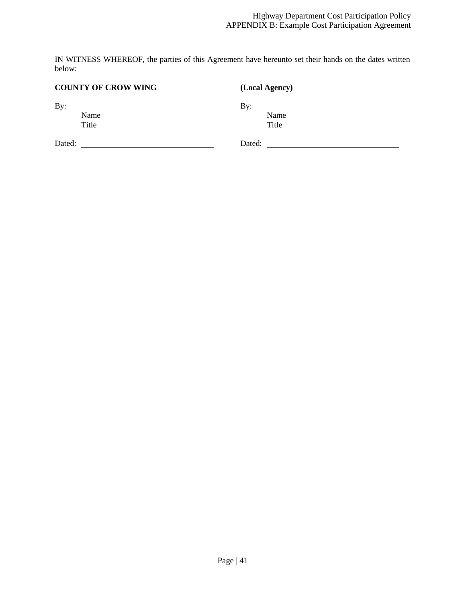IN WITNESS WHEREOF, the parties of this Agreement have hereunto set their hands on the dates written below:

## **COUNTY OF CROW WING (Local Agency)** By: By: By: Name Name Title Title Dated: Dated: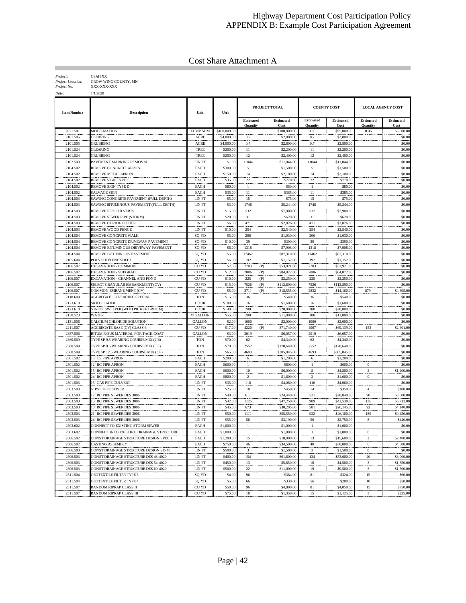## Highway Department Cost Participation Policy APPENDIX B: Example Cost Participation Agreement

Cost Share Attachment A

| Project:                 | <b>CSAH XX</b>       |
|--------------------------|----------------------|
| <b>Project Location:</b> | CROW WING COUNTY, MN |
| Project No:              | XXX-XXX-XXX          |

| Project No: | XXX-XX   |
|-------------|----------|
| Date:       | 1/1/2020 |

| <b>Item Number</b>   | <b>Description</b>                                                           | Unit                | Unit                  |                                     | PROJECT TOTAL              |                              | <b>COUNTY COST</b>        |                              | <b>LOCAL AGENCY COST</b> |
|----------------------|------------------------------------------------------------------------------|---------------------|-----------------------|-------------------------------------|----------------------------|------------------------------|---------------------------|------------------------------|--------------------------|
|                      |                                                                              |                     |                       | <b>Estimated</b><br><b>Quantity</b> | <b>Estimated</b><br>Cost   | Estimated<br><b>Quantity</b> | <b>Estimated</b><br>Cost  | <b>Estimated</b><br>Quantity | <b>Estimated</b><br>Cost |
| 2021.501             | MOBILIZATION                                                                 | <b>LUMP SUM</b>     | \$100,000.00          | -1                                  | \$100,000.00               | 0.95                         | \$95,000.00               | 0.05                         | \$5,000.00               |
| 2101.505             | <b>LEARING</b>                                                               | ACRE                | \$4,000.00            | 0.7                                 | \$2,800.00                 | 0.7                          | \$2,800.00                |                              | \$0.00                   |
| 2101.505             | <b>GRUBBING</b>                                                              | <b>ACRE</b>         | \$4,000.00            | 0.7                                 | \$2,800.00                 | 0.7                          | \$2,800.00                |                              | \$0.00                   |
| 2101.524             | CLEARING                                                                     | <b>TREE</b>         | \$200.00              | 11                                  | \$2,200.00                 | 11                           | \$2,200.00                |                              | \$0.00                   |
| 2101.524             | <b>GRUBBING</b>                                                              | <b>TREE</b>         | \$200.00              | 12                                  | \$2,400.00                 | 12                           | \$2,400.00                |                              | \$0.00                   |
| 2102.503             | PAVEMENT MARKING REMOVAL                                                     | LIN FT              | \$1.00                | 11044                               | \$11,044.00                | 11044                        | \$11,044.00               |                              | \$0.00                   |
| 2104.502             | REMOVE CONCRETE APRON                                                        | <b>EACH</b>         | \$300.00              | 5                                   | \$1,500.00                 | 5                            | \$1,500.00                |                              | \$0.00                   |
| 2104.502             | REMOVE METAL APRON                                                           | EACH                | \$150.00              | 14                                  | \$2,100.00                 | 14                           | \$2,100.00                |                              | \$0.00                   |
| 2104.502             | REMOVE SIGN TYPE C                                                           | <b>EACH</b>         | \$35.00               | 22                                  | \$770.00                   | 22                           | \$770.00                  |                              | \$0.00                   |
| 2104.502             | REMOVE SIGN TYPE D                                                           | EACH                | \$80.00               | $1\,$                               | \$80.00                    | $\mathbf{1}$                 | \$80.00                   |                              | \$0.00                   |
| 2104.502             | SALVAGE SIGN                                                                 | EACH                | \$35.00               | 11                                  | \$385.00                   | 11                           | \$385.00                  |                              | \$0.00                   |
| 2104.503             | SAWING CONCRETE PAVEMENT (FULL DEPTH)                                        | LIN FT              | \$5.00                | 15                                  | \$75.00                    | 15                           | \$75.00                   |                              | \$0.00                   |
| 2104.503             | SAWING BITUMINOUS PAVEMENT (FULL DEPTH)                                      | LIN FT              | \$3.00                | 1748                                | \$5,244.00                 | 1748                         | \$5,244.00                |                              | \$0.00                   |
| 2104.503             | REMOVE PIPE CULVERTS                                                         | LIN FT              | \$15.00               | 532                                 | \$7,980.00                 | 532                          | \$7,980.00                |                              | \$0.00                   |
| 2104.503             | REMOVE SEWER PIPE (STORM)                                                    | LIN FT              | \$20.00               | 31                                  | \$620.00                   | 31                           | \$620.00                  |                              | \$0.00                   |
| 2104.503             | REMOVE CURB & GUTTER                                                         | LIN FT              | \$6.00                | 471                                 | \$2,826.00                 | 471                          | \$2,826.00                |                              | \$0.00                   |
| 2104.503             | REMOVE WOOD FENCE                                                            | LIN FT              | \$10.00               | 254                                 | \$2,540.00                 | 254                          | \$2,540.00                |                              | \$0.00                   |
| 2104.504             | REMOVE CONCRETE WALK                                                         | SQ YD               | \$5.00                | 206                                 | \$1,030.00                 | 206                          | \$1,030.00                |                              | \$0.00                   |
| 2104.504             | REMOVE CONCRETE DRIVEWAY PAVEMENT                                            | SQ YD               | \$10.00               | 39                                  | \$390.00                   | 39                           | \$390.00                  |                              | \$0.00                   |
| 2104.504             | REMOVE BITUMINOUS DRIVEWAY PAVEMENT                                          | SQ YD               | \$6.00                | 1318                                | \$7,908.00                 | 1318                         | \$7,908.00                |                              | \$0.00                   |
| 2104.504             | REMOVE BITUMINOUS PAVEMENT                                                   | SQ YD               | \$5.00                | 17462                               | \$87,310.00                | 17462                        | \$87,310.00               |                              | \$0.00                   |
| 2105.604             | POLYETHYLENE SHEET                                                           | SQ YD               | \$6.00                | 192                                 | \$1,152.00                 | 192                          | \$1,152.00                |                              | \$0.00                   |
| 2106.507             | <b>EXCAVATION - COMMON</b>                                                   | CU YD               | \$7.00                | 7703<br>(P)                         | \$53,921.00                | 7703                         | \$53,921.00               |                              | \$0.00                   |
| 2106.507             | EXCAVATION - SUBGRADE                                                        | CU YD               | \$12.00               | 7006<br>(P)                         | \$84,072.00                | 7006                         | \$84,072.00               |                              | \$0.00                   |
| 2106.507             | EXCAVATION - CHANNEL AND POND                                                | CU YD               | \$10.00               | 225<br>(P)                          | \$2,250.00                 | 225                          | \$2,250.00                |                              | \$0.00                   |
| 2106.507             | SELECT GRANULAR EMBANKMENT (CV)                                              | CU YD               | \$15.00               | 7526<br>(P)                         | \$112,890.00               | 7526                         | \$112,890.00              |                              | \$0.00                   |
| 2106.507             | COMMON EMBANKMENT (CV)                                                       | CU YD               | \$5.00                | 3711<br>(P)                         | \$18,555.00                | 2832                         | \$14,160.00               | 879                          | \$4,395.00               |
| 2118.609             | AGGREGATE SURFACING SPECIAL                                                  | <b>TON</b>          | \$15.00               | 36                                  | \$540.00                   | 36                           | \$540.00                  |                              | \$0.00                   |
| 2123.610             | <b>SKID LOADER</b>                                                           | <b>HOUR</b>         | \$100.00              | 16                                  | \$1,600.00                 | 16                           | \$1,600.00                |                              | \$0.00                   |
| 2123.610             | <b>STREET SWEEPER (WITH PICKUP BROOM)</b>                                    | <b>HOUR</b>         | \$140.00              | 200                                 | \$28,000.00                | 200                          | \$28,000.00               |                              | \$0.00                   |
| 2130.523             | WATER                                                                        | M GALLON            | \$55.00               | 200                                 | \$11,000.00                | 200                          | \$11,000.00               |                              | \$0.00                   |
| 2131.506             | CALCIUM CHLORIDE SOLUTION                                                    | <b>GALLON</b>       | \$2.00                | 1000                                | \$2,000.00                 | 1000                         | \$2,000.00                |                              | \$0.00                   |
| 2211.507             | <b>AGGREGATE BASE (CV) CLASS 6</b>                                           | CU YD               | \$17.00               | 4220<br>(P)                         | \$71,740.00                | 4067                         | \$69,139.00               | 153                          | \$2,601.00               |
| 2357.506             | BITUMINOUS MATERIAL FOR TACK COAT                                            | <b>GALLON</b>       | \$3.00                | 2019                                | \$6,057.00                 | 2019                         | \$6,057.00                |                              | \$0.00                   |
| 2360.509             | TYPE SP 9.5 WEARING COURSE MIX (2;B)                                         | <b>TON</b>          | \$70.00               | 62                                  | \$4,340.00                 | 62                           | \$4,340.00                |                              | \$0.00                   |
| 2360.509             | TYPE SP 9.5 WEARING COURSE MIX (3;F)                                         | <b>TON</b>          | \$70.00               | 2552                                | \$178,640.00               | 2552                         | \$178,640.00              |                              | \$0.00                   |
| 2360.509             | TYPE SP 12.5 WEARING COURSE MIX (3;F)                                        | <b>TON</b>          | \$65.00               | 4693                                | \$305,045.00               | 4693                         | \$305,045.00              |                              | \$0.00                   |
| 2501.502             | 5" CS PIPE APRON                                                             | EACH                | \$200.00              | 6                                   | \$1,200.00                 | 6                            | \$1,200.00                |                              | \$0.00                   |
| 2501.502             | 12" RC PIPE APRON                                                            | EACH                | \$600.00              | $\mathbf{1}$                        | \$600.00                   | $\mathbf{1}$                 | \$600.00                  | $\boldsymbol{0}$             | \$0.00                   |
| 2501.502             | 5" RC PIPE APRON                                                             | EACH                | \$600.00              | 10                                  | \$6,000.00                 | 8                            | \$4,800.00                | $\overline{2}$               | \$1,200.00               |
| 2501.502             | 24" RC PIPE APRON                                                            | EACH                | \$800.00              | $\,2\,$                             | \$1,600.00                 | 2                            | \$1,600.00                | $\bf{0}$                     | \$0.00                   |
| 2501.503             | 5" CAS PIPE CULVERT                                                          | LIN FT              | \$35.00               | 116                                 | \$4,060.00                 | 116                          | \$4,060.00                |                              | \$0.00                   |
| 2503.503             | 5" PVC PIPE SEWER                                                            | LIN FT              | \$25.00               | 18                                  | \$450.00                   | 14                           | \$350.00                  | $\overline{4}$               | \$100.00                 |
| 2503.503             | 2" RC PIPE SEWER DES 3006                                                    | LIN FT              | \$40.00               | 611                                 | \$24,440.00                | 521                          | \$20,840.00               | 90                           | \$3,600.00               |
| 2503.503             | 5" RC PIPE SEWER DES 3006                                                    | LIN FT              | \$42.00               | 1125                                | \$47,250.00                | 989                          | \$41,538.00               | 136                          | \$5,712.00               |
| 2503.503             | 18" RC PIPE SEWER DES 3006                                                   | LIN FT              | \$45.00               | 673                                 | \$30,285.00<br>\$55,550.00 | 581                          | \$26,145.00               | 92                           | \$4,140.00               |
| 2503.503<br>2503.503 | 21" RC PIPE SEWER DES 3006                                                   | LIN FT              | \$50.00               | 1111                                |                            | 922                          | \$46,100.00               | 189                          | \$9,450.00               |
| 2503.602             | 24" RC PIPE SEWER DES 3006<br>CONNECT TO EXISTING STORM SEWER                | LIN FT<br>EACH      | \$55.00<br>\$1,000.00 | 58<br>$1\,$                         | \$3,190.00<br>\$1,000.00   | 50<br>$\mathbf{1}$           | \$2,750.00<br>\$1,000.00  | $\,$ 8 $\,$                  | \$440.00<br>\$0.00       |
| 2503.602             |                                                                              |                     | \$1,000.00            | $\mathbf{1}$                        | \$1,000.00                 |                              | \$1,000.00                | $\Omega$                     | \$0.00                   |
| 2506.502             | CONNECT INTO EXISTING DRAINAGE STRUCTURE                                     | <b>EACH</b><br>EACH | \$1,200.00            | 15                                  | \$18,000.00                | $\mathbf{1}$<br>13           | \$15,600.00               |                              | \$2,400.00               |
|                      | CONST DRAINAGE STRUCTURE DESIGN SPEC 1<br>CASTING ASSEMBLY                   |                     |                       |                                     |                            |                              | \$30,000.00               |                              |                          |
| 2506.502             |                                                                              | EACH                | \$750.00              | 46<br>$\sqrt{3}$                    | \$34,500.00                | 40<br>$\sqrt{3}$             | \$1,500.00                | 6<br>$\bf{0}$                | \$4,500.00               |
| 2506.503             | CONST DRAINAGE STRUCTURE DESIGN SD-48                                        | LIN FT              | \$500.00              |                                     | \$1,500.00<br>\$61,600.00  |                              |                           |                              | \$0.00                   |
| 2506.503<br>2506.503 | CONST DRAINAGE STRUCTURE DES 48-4020<br>CONST DRAINAGE STRUCTURE DES 54-4020 | LIN FT<br>LIN FT    | \$400.00<br>\$450.00  | 154<br>13                           | \$5,850.00                 | 134<br>$10\,$                | \$53,600.00<br>\$4,500.00 | 20<br>3                      | \$8,000.00<br>\$1,350.00 |
|                      | CONST DRAINAGE STRUCTURE DES 60-4020                                         |                     | \$500.00              | $22\,$                              |                            | 19                           |                           | $\mathbf{3}$                 |                          |
| 2506.503<br>2511.504 | <b>GEOTEXTILE FILTER TYPE 3</b>                                              | LIN FT<br>SQ YD     | \$4.00                | 96                                  | \$11,000.00<br>\$384.00    | 81                           | \$9,500.00<br>\$324.00    | 15                           | \$1,500.00<br>\$60.00    |
| 2511.504             | <b>GEOTEXTILE FILTER TYPE 4</b>                                              |                     | \$5.00                | 66                                  | \$330.00                   | 56                           | \$280.00                  | $10\,$                       | \$50.00                  |
| 2511.507             | RANDOM RIPRAP CLASS II                                                       | SQ YD<br>CU YD      | \$50.00               | 96                                  | \$4,800.00                 | $81\,$                       | \$4,050.00                | 15                           | \$750.00                 |
| 2511.507             | RANDOM RIPRAP CLASS III                                                      | CU YD               | \$75.00               | 18                                  | \$1,350.00                 | 15                           | \$1,125.00                | $\mathbf{3}$                 | \$225.00                 |
|                      |                                                                              |                     |                       |                                     |                            |                              |                           |                              |                          |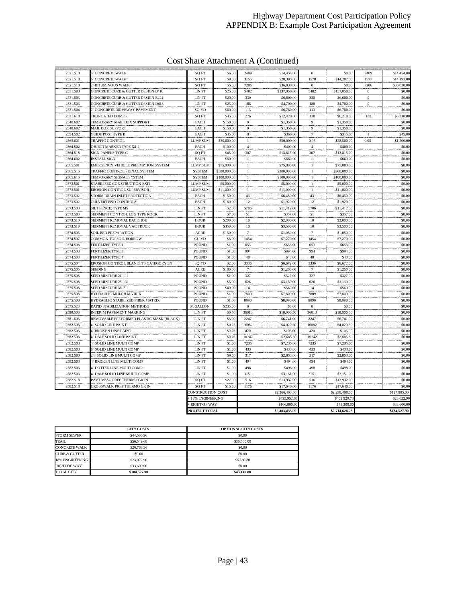#### Highway Department Cost Participation Policy APPENDIX B: Example Cost Participation Agreement

## Cost Share Attachment A (Continued)

| 2521.518             | 4" CONCRETE WALK                                          | SQ FT                       | \$6.00           | 2409           | \$14,454.00           | $\bf{0}$       | \$0.00                 | 2409           | \$14,454.00      |
|----------------------|-----------------------------------------------------------|-----------------------------|------------------|----------------|-----------------------|----------------|------------------------|----------------|------------------|
| 2521.518             | <sup>5"</sup> CONCRETE WALK                               | SO <sub>FT</sub>            | \$9.00           | 3155           | \$28,395.00           | 1578           | \$14,202.00            | 1577           | \$14,193.00      |
| 2521.518             | " BITUMINOUS WALK                                         | SQ FT                       | \$5.00           | 7206           | \$36,030.00           | $\mathbf{0}$   | \$0.00                 | 7206           | \$36,030.00      |
| 2531.503             | CONCRETE CURB & GUTTER DESIGN B418                        | LIN FT                      | \$25.00          | 5482           | \$137,050.00          | 5482           | \$137,050.00           | $\mathbf{0}$   | \$0.00           |
| 2531.503             | CONCRETE CURB & GUTTER DESIGN B424                        | LIN FT                      | \$20.00          | 330            | \$6,600.00            | 330            | \$6,600.00             | $\theta$       | \$0.00           |
| 2531.503             | CONCRETE CURB & GUTTER DESIGN D418                        | LIN FT                      | \$25.00          | 188            | \$4,700.00            | 188            | \$4,700.00             | $\bf{0}$       | \$0.00           |
| 2531.504             | " CONCRETE DRIVEWAY PAVEMENT                              | SQ YD                       | \$60,00          | 113            | \$6,780.00            | 113            | \$6,780.00             |                | \$0.00           |
| 2531.618             | <b>TRUNCATED DOMES</b>                                    | SQ FT                       | \$45.00          | 276            | \$12,420.00           | 138            | \$6,210.00             | 138            | \$6,210.00       |
| 2540.602             | TEMPORARY MAIL BOX SUPPORT                                | <b>EACH</b>                 | \$150.00         | 9              | \$1,350.00            | 9              | \$1,350.00             |                | \$0.00           |
| 2540.602             | <b>MAIL BOX SUPPORT</b>                                   | <b>EACH</b>                 | \$150.00         | $\overline{9}$ | \$1,350.00            | 9              | \$1,350.00             |                | \$0.00           |
| 2554.502             | <b>GUIDE POST TYPE B</b>                                  | <b>EACH</b>                 | \$45.00          | $\,$ 8 $\,$    | \$360.00              | $\overline{7}$ | \$315.00               | $\overline{1}$ | \$45.00          |
| 2563.601             | <b>TRAFFIC CONTROL</b>                                    | <b>LUMP SUM</b>             | \$30,000.00      | $\mathbf{1}$   | \$30,000.00           | 0.95           | \$28,500.00            | 0.05           | \$1,500.00       |
| 2564.502             | <b>OBJECT MARKER TYPE X4-2</b>                            | EACH                        | \$100.00         | $\overline{4}$ | \$400.00              | $\overline{4}$ | \$400.00               |                | \$0.00           |
| 2564.518             | SIGN PANELS TYPE C                                        | SQ FT                       | \$45.00          | 307            | \$13,815.00           | 307            | \$13,815.00            |                | \$0.00           |
| 2564.602             | <b>INSTALL SIGN</b>                                       | EACH                        | \$60.00          | $1\,1$         | \$660.00              | 11             | \$660.00               |                | \$0.00           |
| 2565.501             | EMERGENCY VEHICLE PREEMPTION SYSTEM                       | <b>LUMP SUM</b>             | \$75,000.00      | $\mathbf{1}$   | \$75,000.00           | $\mathbf{1}$   | \$75,000.00            |                | \$0.00           |
| 2565.516             | TRAFFIC CONTROL SIGNAL SYSTEM                             | <b>SYSTEM</b>               | \$300,000.00     | $\overline{1}$ | \$300,000,00          | $\mathbf{1}$   | \$300,000,00           |                | \$0.00           |
| 2565.616             | TEMPORARY SIGNAL SYSTEM                                   | <b>SYSTEM</b>               | \$100,000.00     | $\mathbf{1}$   | \$100,000.00          | $\mathbf{1}$   | \$100,000.00           |                | \$0.00           |
| 2573.501             | STABILIZED CONSTRUCTION EXIT                              | <b>LUMP SUM</b>             | \$5,000.00       | $\mathbf{1}$   | \$5,000.00            | $\mathbf{1}$   | \$5,000.00             |                | \$0.00           |
| 2573.501             | EROSION CONTROL SUPERVISOR                                | <b>LUMP SUM</b>             | \$11,000.00      | $\mathbf{1}$   | \$11,000.00           | $\mathbf{1}$   | \$11,000.00            |                | \$0.00           |
| 2573.502             | <b>STORM DRAIN INLET PROTECTION</b>                       | <b>EACH</b>                 | \$150.00         | 43             | \$6,450.00            | 43             | \$6,450.00             |                | \$0.00           |
| 2573.502             | <b>CULVERT END CONTROLS</b>                               | <b>EACH</b>                 | \$160.00         | 12             | \$1,920.00            | 12             | \$1,920.00             |                | \$0.00           |
| 2573.503             | <b>SILT FENCE; TYPE MS</b>                                | LIN FT                      | \$2.00           | 5706           | \$11,412.00           | 5706           | \$11,412.00            |                | \$0.00           |
| 2573.503             | SEDIMENT CONTROL LOG TYPE ROCK                            | LIN FT                      | \$7.00           | 51             | \$357.00              | 51             | \$357.00               |                | \$0.00           |
| 2573.510             | SEDIMENT REMOVAL BACKHOE                                  | <b>HOUR</b>                 | \$200.00         | 10             | \$2,000.00            | 10             | \$2,000.00             |                | \$0.00           |
| 2573.510             | SEDIMENT REMOVAL VAC TRUCK                                | <b>HOUR</b>                 | \$350.00         | 10             | \$3,500.00            | 10             | \$3,500.00             |                | \$0.00           |
| 2574.505             | <b>SOIL BED PREPARATION</b>                               | <b>ACRE</b>                 | \$150.00         | $\overline{7}$ | \$1,050.00            | $\overline{7}$ | \$1,050.00             |                | \$0.00           |
| 2574.507             | COMMON TOPSOIL BORROW                                     | CU YD                       | \$5.00           | 1454           | \$7,270.00            | 1454           | \$7,270.00             |                | \$0.00           |
| 2574.508             | <b>FERTILIZER TYPE 1</b>                                  | <b>POUND</b>                | \$1.00           | 653            | \$653.00              | 653            | \$653.00               |                | \$0.00<br>\$0.00 |
| 2574.508             | <b>FERTILIZER TYPE 3</b>                                  | POUND                       | \$1.00           | 994            | \$994.00              | 994            | \$994.00               |                |                  |
| 2574.508<br>2575.504 | FERTILIZER TYPE 4<br>EROSION CONTROL BLANKETS CATEGORY 3N | <b>POUND</b>                | \$1.00<br>\$2.00 | 48<br>3336     | \$48.00<br>\$6,672.00 | 48<br>3336     | \$48.00<br>\$6,672.00  |                | \$0.00<br>\$0.00 |
|                      | SEEDING                                                   | SQ YD                       | \$180.00         | $\tau$         | \$1,260.00            | $\overline{7}$ |                        |                | \$0.00           |
| 2575.505<br>2575.508 | SEED MIXTURE 21-111                                       | <b>ACRE</b><br><b>POUND</b> | \$1.00           | 327            | \$327.00              | 327            | \$1,260.00<br>\$327.00 |                | \$0.00           |
| 2575.508             | SEED MIXTURE 25-131                                       | <b>POUND</b>                | \$5.00           | 626            | \$3,130.00            | 626            | \$3,130.00             |                | \$0.00           |
| 2575.508             | SEED MIXTURE 36-711                                       | POUND                       | \$40.00          | 14             | \$560.00              | 14             | \$560.00               |                | \$0.00           |
| 2575.508             | HYDRAULIC MULCH MATRIX                                    | POUND                       | \$1.00           | 7809           | \$7,809.00            | 7809           | \$7,809.00             |                | \$0.00           |
| 2575.508             | HYDRAULIC STABILIZED FIBER MATRIX                         | <b>POUND</b>                | \$1.00           | 8090           | \$8,090.00            | 8090           | \$8,090.00             |                | \$0.00           |
| 2575.523             | RAPID STABILIZATION METHOD 3                              | <b>M GALLON</b>             | \$235.00         | $\mathbf{0}$   | \$0.00                | $\mathbf{0}$   | \$0.00                 |                | \$0.00           |
| 2580.503             | INTERIM PAVEMENT MARKING                                  | LIN FT                      | \$0.50           | 36013          | \$18,006.50           | 36013          | \$18,006.50            |                | \$0.00           |
| 2581.603             | REMOVABLE PREFORMED PLASTIC MASK (BLACK)                  | LIN FT                      | \$3.00           | 2247           | \$6,741.00            | 2247           | \$6,741.00             |                | \$0.00           |
| 2582.503             | <sup>4"</sup> SOLID LINE PAINT                            | LIN FT                      | \$0.25           | 16082          | \$4,020.50            | 16082          | \$4,020.50             |                | \$0.00           |
| 2582.503             | <b>BROKEN LINE PAINT</b>                                  | LIN FT                      | \$0.25           | 420            | \$105.00              | 420            | \$105.00               |                | \$0.00           |
| 2582.503             | " DBLE SOLID LINE PAINT                                   | LIN FT                      | \$0.25           | 10742          | \$2,685.50            | 10742          | \$2,685.50             |                | \$0.00           |
| 2582.503             | " SOLID LINE MULTI COMP                                   | LIN FT                      | \$1.00           | 7235           | \$7,235.00            | 7235           | \$7,235.00             |                | \$0.00           |
| 2582.503             | " SOLID LINE MULTI COMP                                   | LIN FT                      | \$1.00           | 433            | \$433.00              | 433            | \$433.00               |                | \$0.00           |
| 2582.503             | 24" SOLID LINE MULTI COMP                                 | LIN FT                      | \$9.00           | 317            | \$2,853.00            | 317            | \$2,853.00             |                | \$0.00           |
| 2582.503             | " BROKEN LINE MULTI COMP                                  | LIN FT                      | \$1.00           | 494            | \$494.00              | 494            | \$494.00               |                | \$0.00           |
| 2582.503             | " DOTTED LINE MULTI COMP                                  | LIN FT                      | \$1.00           | 498            | \$498.00              | 498            | \$498.00               |                | \$0.00           |
| 2582.503             | I" DBLE SOLID LINE MULTI COMP                             | LIN FT                      | \$1.00           | 3151           | \$3,151.00            | 3151           | \$3,151.00             |                | \$0.00           |
| 2582.518             | PAVT MSSG PREF THERMO GR IN                               | SQ FT                       | \$27.00          | 516            | \$13,932.00           | 516            | \$13,932.00            |                | \$0.00           |
| 2582.518             | CROSSWALK PREF THERMO GR IN                               | <b>SQ FT</b>                | \$15.00          | 1176           | \$17,640.00           | 1176           | \$17,640.00            |                | \$0.00           |
|                      |                                                           | CONSTRUCTION COST           |                  |                | \$2,366,403.50        |                | \$2,238,498.50         |                | \$127,905.00     |
|                      |                                                           | 18% ENGINEERING             |                  |                | \$425,952.63          |                | \$402,929.7            |                | \$23,022.90      |
|                      |                                                           | <b>RIGHT OF WAY</b>         |                  |                | \$106,800.0           |                | \$73,200.0             |                | \$33,600.00      |
|                      |                                                           | PROJECT TOTAL               |                  |                | \$2,483,435.90        |                | \$2,714,628.23         |                | \$184,527.90     |

|                          | <b>CITY COSTS</b> | <b>OPTIONAL CITY COSTS</b> |
|--------------------------|-------------------|----------------------------|
| <b>STORM SEWER</b>       | \$44,586.96       | \$0.00                     |
| <b>TRAIL</b>             | \$56,549.68       | \$36,560.00                |
| <b>CONCRETE WALK</b>     | \$26,768.36       | \$0.00                     |
| <b>CURB &amp; GUTTER</b> | \$0.00            | \$0.00                     |
| 18% ENGINEERING          | \$23,022.90       | \$6,580.80                 |
| <b>RIGHT OF WAY</b>      | \$33,600.00       | \$0.00                     |
| <b>TOTAL CITY</b>        | \$184,527.90      | \$43,140.80                |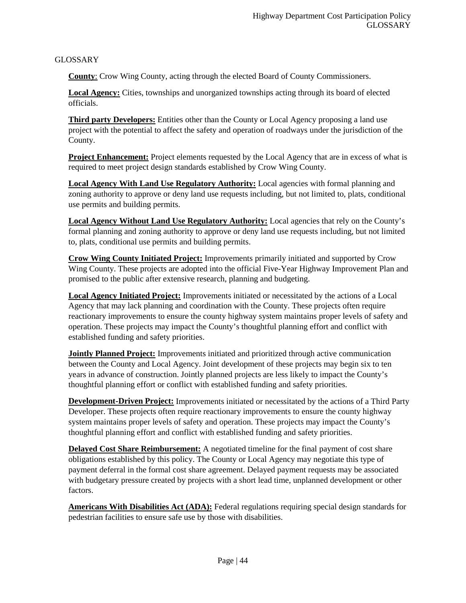GLOSSARY

**County**: Crow Wing County, acting through the elected Board of County Commissioners.

**Local Agency:** Cities, townships and unorganized townships acting through its board of elected officials.

**Third party Developers:** Entities other than the County or Local Agency proposing a land use project with the potential to affect the safety and operation of roadways under the jurisdiction of the County.

**Project Enhancement:** Project elements requested by the Local Agency that are in excess of what is required to meet project design standards established by Crow Wing County.

**Local Agency With Land Use Regulatory Authority:** Local agencies with formal planning and zoning authority to approve or deny land use requests including, but not limited to, plats, conditional use permits and building permits.

**Local Agency Without Land Use Regulatory Authority:** Local agencies that rely on the County's formal planning and zoning authority to approve or deny land use requests including, but not limited to, plats, conditional use permits and building permits.

**Crow Wing County Initiated Project:** Improvements primarily initiated and supported by Crow Wing County. These projects are adopted into the official Five-Year Highway Improvement Plan and promised to the public after extensive research, planning and budgeting.

**Local Agency Initiated Project:** Improvements initiated or necessitated by the actions of a Local Agency that may lack planning and coordination with the County. These projects often require reactionary improvements to ensure the county highway system maintains proper levels of safety and operation. These projects may impact the County's thoughtful planning effort and conflict with established funding and safety priorities.

**Jointly Planned Project:** Improvements initiated and prioritized through active communication between the County and Local Agency. Joint development of these projects may begin six to ten years in advance of construction. Jointly planned projects are less likely to impact the County's thoughtful planning effort or conflict with established funding and safety priorities.

**Development-Driven Project:** Improvements initiated or necessitated by the actions of a Third Party Developer. These projects often require reactionary improvements to ensure the county highway system maintains proper levels of safety and operation. These projects may impact the County's thoughtful planning effort and conflict with established funding and safety priorities.

**Delayed Cost Share Reimbursement:** A negotiated timeline for the final payment of cost share obligations established by this policy. The County or Local Agency may negotiate this type of payment deferral in the formal cost share agreement. Delayed payment requests may be associated with budgetary pressure created by projects with a short lead time, unplanned development or other factors.

**Americans With Disabilities Act (ADA):** Federal regulations requiring special design standards for pedestrian facilities to ensure safe use by those with disabilities.